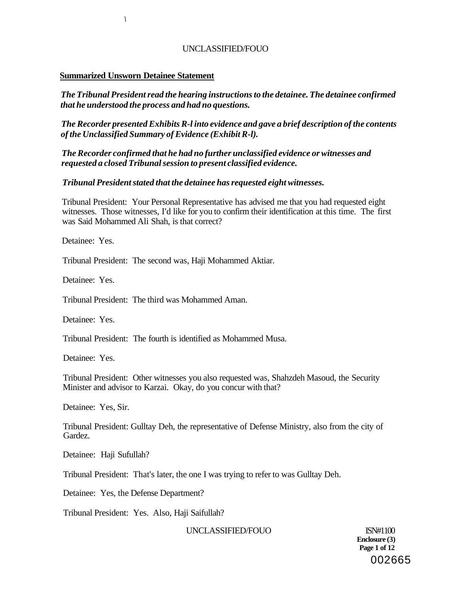#### **Summarized Unsworn Detainee Statement**

*\* 

*The Tribunal President read the hearing instructions to the detainee. The detainee confirmed that he understood the process and had no questions.* 

*The Recorder presented Exhibits R-l into evidence and gave a brief description of the contents of the Unclassified Summary of Evidence (Exhibit R-l).* 

*The Recorder confirmed that he had no further unclassified evidence or witnesses and requested a closed Tribunal session to present classified evidence.* 

#### *Tribunal President stated that the detainee has requested eight witnesses.*

Tribunal President: Your Personal Representative has advised me that you had requested eight witnesses. Those witnesses, I'd like for you to confirm their identification at this time. The first was Said Mohammed Ali Shah, is that correct?

Detainee: Yes.

Tribunal President: The second was, Haji Mohammed Aktiar.

Detainee: Yes.

Tribunal President: The third was Mohammed Aman.

Detainee: Yes.

Tribunal President: The fourth is identified as Mohammed Musa.

Detainee: Yes.

Tribunal President: Other witnesses you also requested was, Shahzdeh Masoud, the Security Minister and advisor to Karzai. Okay, do you concur with that?

Detainee: Yes, Sir.

Tribunal President: Gulltay Deh, the representative of Defense Ministry, also from the city of Gardez.

Detainee: Haji Sufullah?

Tribunal President: That's later, the one I was trying to refer to was Gulltay Deh.

Detainee: Yes, the Defense Department?

Tribunal President: Yes. Also, Haji Saifullah?

UNCLASSIFIED/FOUO ISN#1100

**Enclosure (3) Page 1 of 12**  002665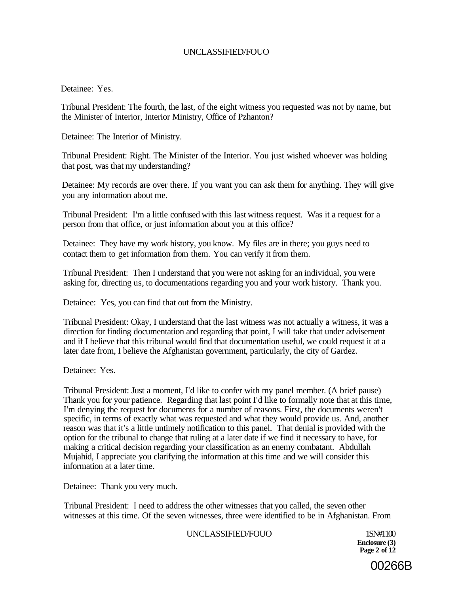Detainee: Yes.

Tribunal President: The fourth, the last, of the eight witness you requested was not by name, but the Minister of Interior, Interior Ministry, Office of Pzhanton?

Detainee: The Interior of Ministry.

Tribunal President: Right. The Minister of the Interior. You just wished whoever was holding that post, was that my understanding?

Detainee: My records are over there. If you want you can ask them for anything. They will give you any information about me.

Tribunal President: I'm a little confused with this last witness request. Was it a request for a person from that office, or just information about you at this office?

Detainee: They have my work history, you know. My files are in there; you guys need to contact them to get information from them. You can verify it from them.

Tribunal President: Then I understand that you were not asking for an individual, you were asking for, directing us, to documentations regarding you and your work history. Thank you.

Detainee: Yes, you can find that out from the Ministry.

Tribunal President: Okay, I understand that the last witness was not actually a witness, it was a direction for finding documentation and regarding that point, I will take that under advisement and if I believe that this tribunal would find that documentation useful, we could request it at a later date from, I believe the Afghanistan government, particularly, the city of Gardez.

Detainee: Yes.

Tribunal President: Just a moment, I'd like to confer with my panel member. (A brief pause) Thank you for your patience. Regarding that last point I'd like to formally note that at this time, I'm denying the request for documents for a number of reasons. First, the documents weren't specific, in terms of exactly what was requested and what they would provide us. And, another reason was that it's a little untimely notification to this panel. That denial is provided with the option for the tribunal to change that ruling at a later date if we find it necessary to have, for making a critical decision regarding your classification as an enemy combatant. Abdullah Mujahid, I appreciate you clarifying the information at this time and we will consider this information at a later time.

Detainee: Thank you very much.

Tribunal President: I need to address the other witnesses that you called, the seven other witnesses at this time. Of the seven witnesses, three were identified to be in Afghanistan. From

#### UNCLASSIFIED/FOUO 1SN#1100

**Enclosure (3) Page 2 of 12** 

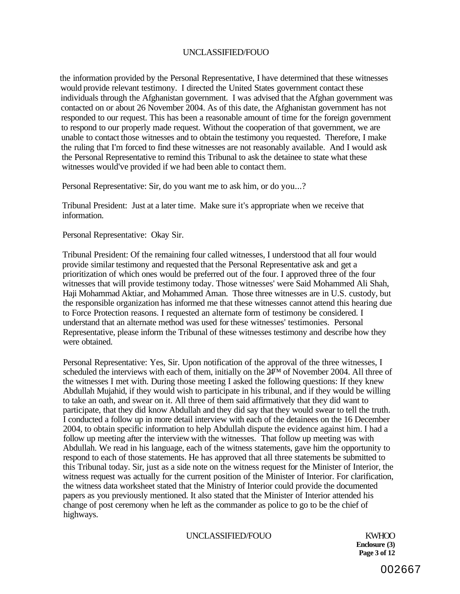the information provided by the Personal Representative, I have determined that these witnesses would provide relevant testimony. I directed the United States government contact these individuals through the Afghanistan government. I was advised that the Afghan government was contacted on or about 26 November 2004. As of this date, the Afghanistan government has not responded to our request. This has been a reasonable amount of time for the foreign government to respond to our properly made request. Without the cooperation of that government, we are unable to contact those witnesses and to obtain the testimony you requested. Therefore, I make the ruling that I'm forced to find these witnesses are not reasonably available. And I would ask the Personal Representative to remind this Tribunal to ask the detainee to state what these witnesses would've provided if we had been able to contact them.

Personal Representative: Sir, do you want me to ask him, or do you...?

Tribunal President: Just at a later time. Make sure it's appropriate when we receive that information.

Personal Representative: Okay Sir.

Tribunal President: Of the remaining four called witnesses, I understood that all four would provide similar testimony and requested that the Personal Representative ask and get a prioritization of which ones would be preferred out of the four. I approved three of the four witnesses that will provide testimony today. Those witnesses' were Said Mohammed Ali Shah, Haji Mohammad Aktiar, and Mohammed Aman. Those three witnesses are in U.S. custody, but the responsible organization has informed me that these witnesses cannot attend this hearing due to Force Protection reasons. I requested an alternate form of testimony be considered. I understand that an alternate method was used for these witnesses' testimonies. Personal Representative, please inform the Tribunal of these witnesses testimony and describe how they were obtained.

Personal Representative: Yes, Sir. Upon notification of the approval of the three witnesses, I scheduled the interviews with each of them, initially on the  $24<sup>TM</sup>$  of November 2004. All three of the witnesses I met with. During those meeting I asked the following questions: If they knew Abdullah Mujahid, if they would wish to participate in his tribunal, and if they would be willing to take an oath, and swear on it. All three of them said affirmatively that they did want to participate, that they did know Abdullah and they did say that they would swear to tell the truth. I conducted a follow up in more detail interview with each of the detainees on the 16 December 2004, to obtain specific information to help Abdullah dispute the evidence against him. I had a follow up meeting after the interview with the witnesses. That follow up meeting was with Abdullah. We read in his language, each of the witness statements, gave him the opportunity to respond to each of those statements. He has approved that all three statements be submitted to this Tribunal today. Sir, just as a side note on the witness request for the Minister of Interior, the witness request was actually for the current position of the Minister of Interior. For clarification, the witness data worksheet stated that the Ministry of Interior could provide the documented papers as you previously mentioned. It also stated that the Minister of Interior attended his change of post ceremony when he left as the commander as police to go to be the chief of highways.

#### UNCLASSIFIED/FOUO KWHOO

**Enclosure (3) Page 3 of 12**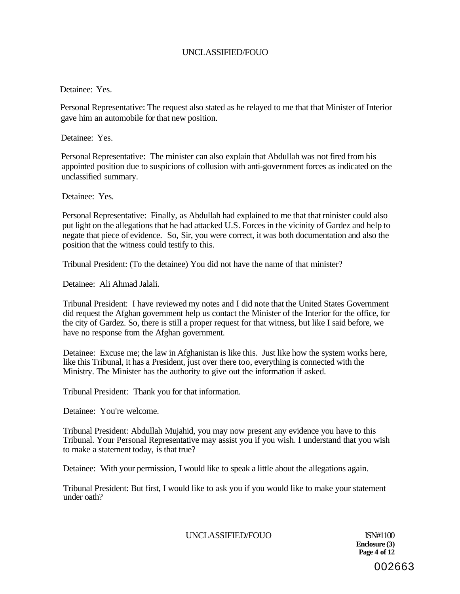#### Detainee: Yes.

Personal Representative: The request also stated as he relayed to me that that Minister of Interior gave him an automobile for that new position.

Detainee: Yes.

Personal Representative: The minister can also explain that Abdullah was not fired from his appointed position due to suspicions of collusion with anti-government forces as indicated on the unclassified summary.

Detainee: Yes.

Personal Representative: Finally, as Abdullah had explained to me that that rninister could also put light on the allegations that he had attacked U.S. Forces in the vicinity of Gardez and help to negate that piece of evidence. So, Sir, you were correct, it was both documentation and also the position that the witness could testify to this.

Tribunal President: (To the detainee) You did not have the name of that minister?

Detainee: Ali Ahmad Jalali.

Tribunal President: I have reviewed my notes and I did note that the United States Government did request the Afghan government help us contact the Minister of the Interior for the office, for the city of Gardez. So, there is still a proper request for that witness, but like I said before, we have no response from the Afghan government.

Detainee: Excuse me; the law in Afghanistan is like this. Just like how the system works here, like this Tribunal, it has a President, just over there too, everything is connected with the Ministry. The Minister has the authority to give out the information if asked.

Tribunal President: Thank you for that information.

Detainee: You're welcome.

Tribunal President: Abdullah Mujahid, you may now present any evidence you have to this Tribunal. Your Personal Representative may assist you if you wish. I understand that you wish to make a statement today, is that true?

Detainee: With your permission, I would like to speak a little about the allegations again.

Tribunal President: But first, I would like to ask you if you would like to make your statement under oath?

UNCLASSIFIED/FOUO ISN#1100

**Enclosure (3) Page 4 of 12**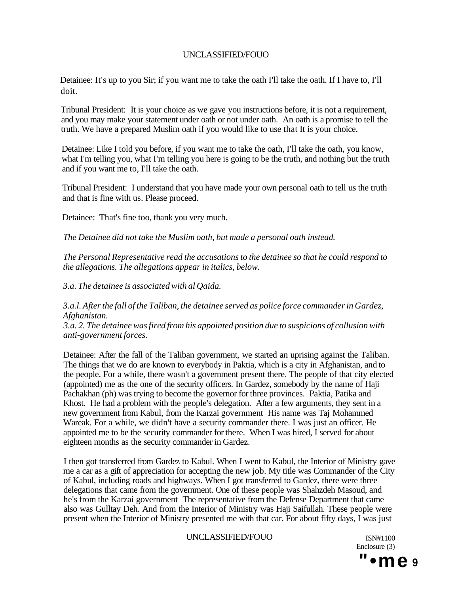Detainee: It's up to you Sir; if you want me to take the oath I'll take the oath. If I have to, I'll doit.

Tribunal President: It is your choice as we gave you instructions before, it is not a requirement, and you may make your statement under oath or not under oath. An oath is a promise to tell the truth. We have a prepared Muslim oath if you would like to use that It is your choice.

Detainee: Like I told you before, if you want me to take the oath, I'll take the oath, you know, what I'm telling you, what I'm telling you here is going to be the truth, and nothing but the truth and if you want me to, I'll take the oath.

Tribunal President: I understand that you have made your own personal oath to tell us the truth and that is fine with us. Please proceed.

Detainee: That's fine too, thank you very much.

*The Detainee did not take the Muslim oath, but made a personal oath instead.* 

*The Personal Representative read the accusations to the detainee so that he could respond to the allegations. The allegations appear in italics, below.* 

*3.a. The detainee is associated with al Qaida.* 

*3.a.l. After the fall of the Taliban, the detainee served as police force commander in Gardez, Afghanistan.* 

*3.a. 2. The detainee was fired from his appointed position due to suspicions of collusion with anti-government forces.* 

Detainee: After the fall of the Taliban government, we started an uprising against the Taliban. The things that we do are known to everybody in Paktia, which is a city in Afghanistan, and to the people. For a while, there wasn't a government present there. The people of that city elected (appointed) me as the one of the security officers. In Gardez, somebody by the name of Haji Pachakhan (ph) was trying to become the governor for three provinces. Paktia, Patika and Khost. He had a problem with the people's delegation. After a few arguments, they sent in a new government from Kabul, from the Karzai government His name was Taj Mohammed Wareak. For a while, we didn't have a security commander there. I was just an officer. He appointed me to be the security commander for there. When I was hired, I served for about eighteen months as the security commander in Gardez.

I then got transferred from Gardez to Kabul. When I went to Kabul, the Interior of Ministry gave me a car as a gift of appreciation for accepting the new job. My title was Commander of the City of Kabul, including roads and highways. When I got transferred to Gardez, there were three delegations that came from the government. One of these people was Shahzdeh Masoud, and he's from the Karzai government The representative from the Defense Department that came also was Gulltay Deh. And from the Interior of Ministry was Haji Saifullah. These people were present when the Interior of Ministry presented me with that car. For about fifty days, I was just

#### UNCLASSIFIED/FOUO ISN#1100

Enclosure (3) **"•me 9**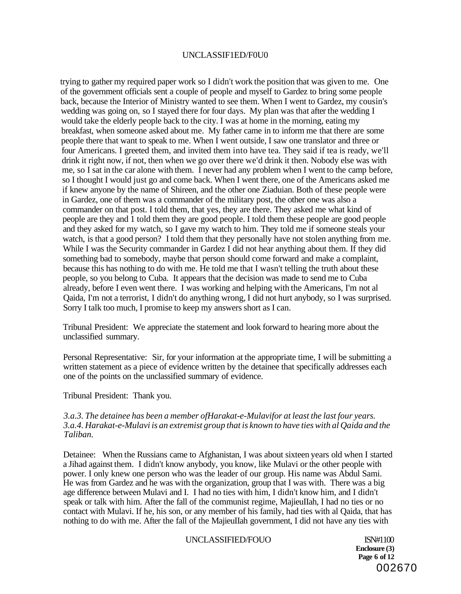#### UNCLASSIF1ED/F0U0

trying to gather my required paper work so I didn't work the position that was given to me. One of the government officials sent a couple of people and myself to Gardez to bring some people back, because the Interior of Ministry wanted to see them. When I went to Gardez, my cousin's wedding was going on, so I stayed there for four days. My plan was that after the wedding I would take the elderly people back to the city. I was at home in the morning, eating my breakfast, when someone asked about me. My father came in to inform me that there are some people there that want to speak to me. When I went outside, I saw one translator and three or four Americans. I greeted them, and invited them into have tea. They said if tea is ready, we'll drink it right now, if not, then when we go over there we'd drink it then. Nobody else was with me, so I sat in the car alone with them. I never had any problem when I went to the camp before, so I thought I would just go and come back. When I went there, one of the Americans asked me if knew anyone by the name of Shireen, and the other one Ziaduian. Both of these people were in Gardez, one of them was a commander of the military post, the other one was also a commander on that post. I told them, that yes, they are there. They asked me what kind of people are they and 1 told them they are good people. I told them these people are good people and they asked for my watch, so I gave my watch to him. They told me if someone steals your watch, is that a good person? I told them that they personally have not stolen anything from me. While I was the Security commander in Gardez I did not hear anything about them. If they did something bad to somebody, maybe that person should come forward and make a complaint, because this has nothing to do with me. He told me that I wasn't telling the truth about these people, so you belong to Cuba. It appears that the decision was made to send me to Cuba already, before I even went there. I was working and helping with the Americans, I'm not al Qaida, I'm not a terrorist, I didn't do anything wrong, I did not hurt anybody, so I was surprised. Sorry I talk too much, I promise to keep my answers short as I can.

Tribunal President: We appreciate the statement and look forward to hearing more about the unclassified summary.

Personal Representative: Sir, for your information at the appropriate time, I will be submitting a written statement as a piece of evidence written by the detainee that specifically addresses each one of the points on the unclassified summary of evidence.

Tribunal President: Thank you.

#### *3.a.3. The detainee has been a member ofHarakat-e-Mulavifor at least the last four years. 3.a.4. Harakat-e-Mulavi is an extremist group that is known to have ties with al Qaida and the Taliban.*

Detainee: When the Russians came to Afghanistan, I was about sixteen years old when I started a Jihad against them. I didn't know anybody, you know, like Mulavi or the other people with power. I only knew one person who was the leader of our group. His name was Abdul Sami. He was from Gardez and he was with the organization, group that I was with. There was a big age difference between Mulavi and I. I had no ties with him, I didn't know him, and I didn't speak or talk with him. After the fall of the communist regime, MajieuIIah, I had no ties or no contact with Mulavi. If he, his son, or any member of his family, had ties with al Qaida, that has nothing to do with me. After the fall of the MajieuIIah government, I did not have any ties with

# UNCLASSIFIED/FOUO ISN#1100

**Enclosure (3) Page 6 of 12**  002670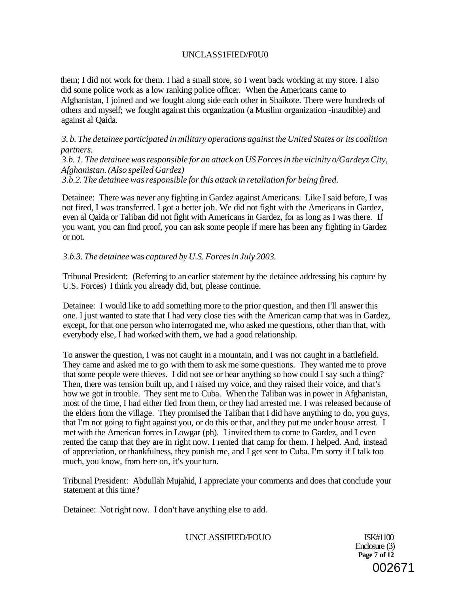# UNCLASS1FIED/F0U0

them; I did not work for them. I had a small store, so I went back working at my store. I also did some police work as a low ranking police officer. When the Americans came to Afghanistan, I joined and we fought along side each other in Shaikote. There were hundreds of others and myself; we fought against this organization (a Muslim organization -inaudible) and against al Qaida.

*3. b. The detainee participated in military operations against the United States or its coalition partners.* 

*3.b. 1. The detainee was responsible for an attack on US Forces in the vicinity o/Gardeyz City, Afghanistan. (Also spelled Gardez)* 

*3.b.2. The detainee was responsible for this attack in retaliation for being fired.* 

Detainee: There was never any fighting in Gardez against Americans. Like I said before, I was not fired, I was transferred. I got a better job. We did not fight with the Americans in Gardez, even al Qaida or Taliban did not fight with Americans in Gardez, for as long as I was there. If you want, you can find proof, you can ask some people if mere has been any fighting in Gardez or not.

## *3.b.3. The detainee* was *captured by U.S. Forces in July 2003.*

Tribunal President: (Referring to an earlier statement by the detainee addressing his capture by U.S. Forces) I think you already did, but, please continue.

Detainee: I would like to add something more to the prior question, and then I'll answer this one. I just wanted to state that I had very close ties with the American camp that was in Gardez, except, for that one person who interrogated me, who asked me questions, other than that, with everybody else, I had worked with them, we had a good relationship.

To answer the question, I was not caught in a mountain, and I was not caught in a battlefield. They came and asked me to go with them to ask me some questions. They wanted me to prove that some people were thieves. I did not see or hear anything so how could I say such a thing? Then, there was tension built up, and I raised my voice, and they raised their voice, and that's how we got in trouble. They sent me to Cuba. When the Taliban was in power in Afghanistan, most of the time, I had either fled from them, or they had arrested me. I was released because of the elders from the village. They promised the Taliban that I did have anything to do, you guys, that I'm not going to fight against you, or do this or that, and they put me under house arrest. I met with the American forces in Lowgar (ph). I invited them to come to Gardez, and I even rented the camp that they are in right now. I rented that camp for them. I helped. And, instead of appreciation, or thankfulness, they punish me, and I get sent to Cuba. I'm sorry if I talk too much, you know, from here on, it's your turn.

Tribunal President: Abdullah Mujahid, I appreciate your comments and does that conclude your statement at this time?

Detainee: Not right now. I don't have anything else to add.

UNCLASSIFIED/FOUO ISK#1100

Enclosure (3) **Page 7 of 12**  002671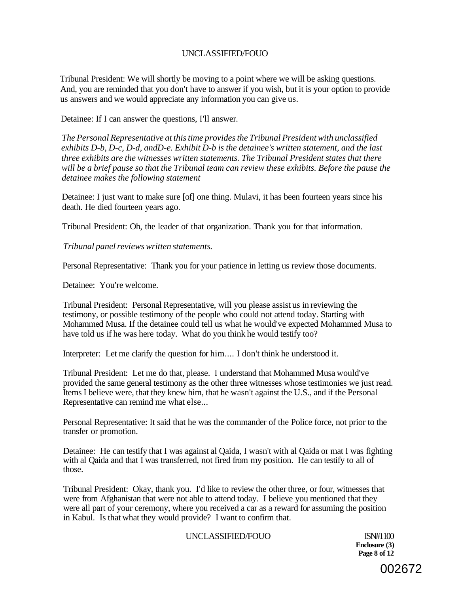Tribunal President: We will shortly be moving to a point where we will be asking questions. And, you are reminded that you don't have to answer if you wish, but it is your option to provide us answers and we would appreciate any information you can give us.

Detainee: If I can answer the questions, I'll answer.

*The Personal Representative at this time provides the Tribunal President with unclassified exhibits D-b, D-c, D-d, andD-e. Exhibit D-b is the detainee's written statement, and the last three exhibits are the witnesses written statements. The Tribunal President states that there will be a brief pause so that the Tribunal team can review these exhibits. Before the pause the detainee makes the following statement* 

Detainee: I just want to make sure [of] one thing. Mulavi, it has been fourteen years since his death. He died fourteen years ago.

Tribunal President: Oh, the leader of that organization. Thank you for that information.

*Tribunal panel reviews written statements.* 

Personal Representative: Thank you for your patience in letting us review those documents.

Detainee: You're welcome.

Tribunal President: Personal Representative, will you please assist us in reviewing the testimony, or possible testimony of the people who could not attend today. Starting with Mohammed Musa. If the detainee could tell us what he would've expected Mohammed Musa to have told us if he was here today. What do you think he would testify too?

Interpreter: Let me clarify the question for him.... I don't think he understood it.

Tribunal President: Let me do that, please. I understand that Mohammed Musa would've provided the same general testimony as the other three witnesses whose testimonies we just read. Items I believe were, that they knew him, that he wasn't against the U.S., and if the Personal Representative can remind me what else...

Personal Representative: It said that he was the commander of the Police force, not prior to the transfer or promotion.

Detainee: He can testify that I was against al Qaida, I wasn't with al Qaida or mat I was fighting with al Qaida and that I was transferred, not fired from my position. He can testify to all of those.

Tribunal President: Okay, thank you. I'd like to review the other three, or four, witnesses that were from Afghanistan that were not able to attend today. I believe you mentioned that they were all part of your ceremony, where you received a car as a reward for assuming the position in Kabul. Is that what they would provide? I want to confirm that.

#### UNCLASSIFIED/FOUO ISN#1100

**Enclosure (3) Page 8 of 12**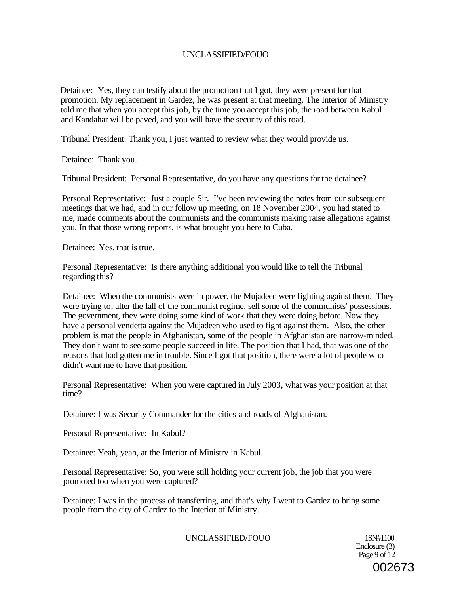Detainee: Yes, they can testify about the promotion that I got, they were present for that promotion. My replacement in Gardez, he was present at that meeting. The Interior of Ministry told me that when you accept this job, by the time you accept this job, the road between Kabul and Kandahar will be paved, and you will have the security of this road.

Tribunal President: Thank you, I just wanted to review what they would provide us.

Detainee: Thank you.

Tribunal President: Personal Representative, do you have any questions for the detainee?

Personal Representative: Just a couple Sir. I've been reviewing the notes from our subsequent meetings that we had, and in our follow up meeting, on 18 November 2004, you had stated to me, made comments about the communists and the communists making raise allegations against you. In that those wrong reports, is what brought you here to Cuba.

Detainee: Yes, that is true.

Personal Representative: Is there anything additional you would like to tell the Tribunal regarding this?

Detainee: When the communists were in power, the Mujadeen were fighting against them. They were trying to, after the fall of the communist regime, sell some of the communists' possessions. The government, they were doing some kind of work that they were doing before. Now they have a personal vendetta against the Mujadeen who used to fight against them. Also, the other problem is mat the people in Afghanistan, some of the people in Afghanistan are narrow-minded. They don't want to see some people succeed in life. The position that I had, that was one of the reasons that had gotten me in trouble. Since I got that position, there were a lot of people who didn't want me to have that position.

Personal Representative: When you were captured in July 2003, what was your position at that time?

Detainee: I was Security Commander for the cities and roads of Afghanistan.

Personal Representative: In Kabul?

Detainee: Yeah, yeah, at the Interior of Ministry in Kabul.

Personal Representative: So, you were still holding your current job, the job that you were promoted too when you were captured?

Detainee: I was in the process of transferring, and that's why I went to Gardez to bring some people from the city of Gardez to the Interior of Ministry.

UNCLASSIFIED/FOUO 1SN#1100

Enclosure (3) Page 9 of 12 002673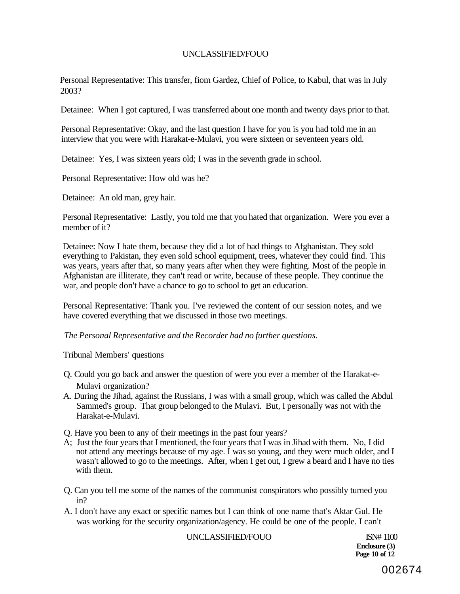Personal Representative: This transfer, fiom Gardez, Chief of Police, to Kabul, that was in July 2003?

Detainee: When I got captured, I was transferred about one month and twenty days prior to that.

Personal Representative: Okay, and the last question I have for you is you had told me in an interview that you were with Harakat-e-Mulavi, you were sixteen or seventeen years old.

Detainee: Yes, I was sixteen years old; I was in the seventh grade in school.

Personal Representative: How old was he?

Detainee: An old man, grey hair.

Personal Representative: Lastly, you told me that you hated that organization. Were you ever a member of it?

Detainee: Now I hate them, because they did a lot of bad things to Afghanistan. They sold everything to Pakistan, they even sold school equipment, trees, whatever they could find. This was years, years after that, so many years after when they were fighting. Most of the people in Afghanistan are illiterate, they can't read or write, because of these people. They continue the war, and people don't have a chance to go to school to get an education.

Personal Representative: Thank you. I've reviewed the content of our session notes, and we have covered everything that we discussed in those two meetings.

*The Personal Representative and the Recorder had no further questions.* 

#### Tribunal Members' questions

- Q. Could you go back and answer the question of were you ever a member of the Harakat-e-Mulavi organization?
- A. During the Jihad, against the Russians, I was with a small group, which was called the Abdul Sammed's group. That group belonged to the Mulavi. But, I personally was not with the Harakat-e-Mulavi.
- Q. Have you been to any of their meetings in the past four years?
- A; Just the four years that I mentioned, the four years that I was in Jihad with them. No, I did not attend any meetings because of my age. I was so young, and they were much older, and I wasn't allowed to go to the meetings. After, when I get out, I grew a beard and I have no ties with them.
- Q. Can you tell me some of the names of the communist conspirators who possibly turned you in?
- A. I don't have any exact or specific names but I can think of one name that's Aktar Gul. He was working for the security organization/agency. He could be one of the people. I can't

UNCLASSIFIED/FOUO ISN# 1100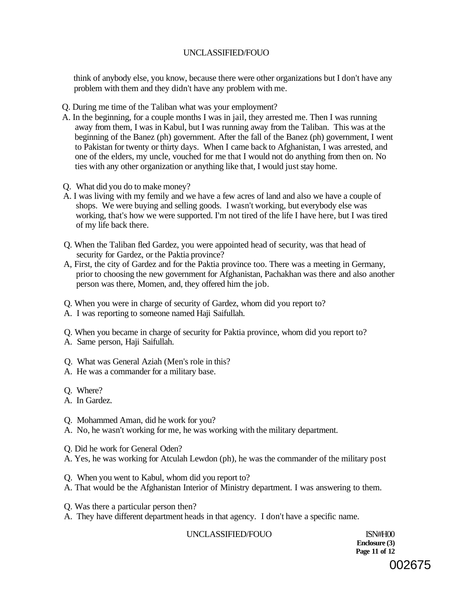think of anybody else, you know, because there were other organizations but I don't have any problem with them and they didn't have any problem with me.

- Q. During me time of the Taliban what was your employment?
- A. In the beginning, for a couple months I was in jail, they arrested me. Then I was running away from them, I was in Kabul, but I was running away from the Taliban. This was at the beginning of the Banez (ph) government. After the fall of the Banez (ph) government, I went to Pakistan for twenty or thirty days. When I came back to Afghanistan, I was arrested, and one of the elders, my uncle, vouched for me that I would not do anything from then on. No ties with any other organization or anything like that, I would just stay home.
- Q. What did you do to make money?
- A. I was living with my femily and we have a few acres of land and also we have a couple of shops. We were buying and selling goods. I wasn't working, but everybody else was working, that's how we were supported. I'm not tired of the life I have here, but I was tired of my life back there.
- Q. When the Taliban fled Gardez, you were appointed head of security, was that head of security for Gardez, or the Paktia province?
- A, First, the city of Gardez and for the Paktia province too. There was a meeting in Germany, prior to choosing the new government for Afghanistan, Pachakhan was there and also another person was there, Momen, and, they offered him the job.
- Q. When you were in charge of security of Gardez, whom did you report to?
- A. I was reporting to someone named Haji Saifullah.
- Q. When you became in charge of security for Paktia province, whom did you report to?
- A. Same person, Haji Saifullah.
- Q. What was General Aziah (Men's role in this?
- A. He was a commander for a military base.
- Q. Where?
- A. In Gardez.
- Q. Mohammed Aman, did he work for you?
- A. No, he wasn't working for me, he was working with the military department.
- Q. Did he work for General Oden?
- A. Yes, he was working for Atculah Lewdon (ph), he was the commander of the military post
- Q. When you went to Kabul, whom did you report to?
- A. That would be the Afghanistan Interior of Ministry department. I was answering to them.
- Q. Was there a particular person then?
- A. They have different department heads in that agency. I don't have a specific name.

UNCLASSIFIED/FOUO ISN#H00

**Enclosure (3) Page 11 of 12**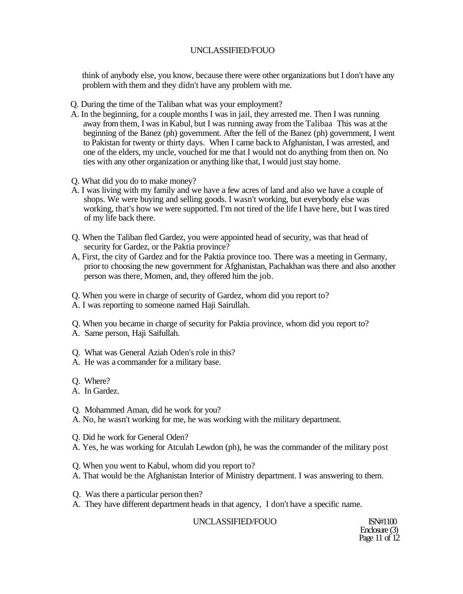think of anybody else, you know, because there were other organizations but I don't have any problem with them and they didn't have any problem with me.

- Q. During the time of the Taliban what was your employment?
- A. In the beginning, for a couple months I was in jail, they arrested me. Then I was running away from them, I was in Kabul, but I was running away from the Talibaa This was at the beginning of the Banez (ph) government. After the fell of the Banez (ph) government, I went to Pakistan for twenty or thirty days. When I came back to Afghanistan, I was arrested, and one of the elders, my uncle, vouched for me that I would not do anything from then on. No ties with any other organization or anything like that, I would just stay home.
- Q. What did you do to make money?
- A. I was living with my family and we have a few acres of land and also we have a couple of shops. We were buying and selling goods. I wasn't working, but everybody else was working, that's how we were supported. I'm not tired of the life I have here, but I was tired of my life back there.
- Q. When the Taliban fled Gardez, you were appointed head of security, was that head of security for Gardez, or the Paktia province?
- A, First, the city of Gardez and for the Paktia province too. There was a meeting in Germany, prior to choosing the new government for Afghanistan, Pachakhan was there and also another person was there, Momen, and, they offered him the job.
- Q. When you were in charge of security of Gardez, whom did you report to?
- A. I was reporting to someone named Haji Sairullah.
- Q. When you became in charge of security for Paktia province, whom did you report to?
- A. Same person, Haji Saifullah.
- Q. What was General Aziah Oden's role in this?
- A. He was a commander for a military base.
- Q. Where?
- A. In Gardez.
- Q. Mohammed Aman, did he work for you?
- A. No, he wasn't working for me, he was working with the military department.
- Q. Did he work for General Oden?
- A. Yes, he was working for Atculah Lewdon (ph), he was the commander of the military post
- Q. When you went to Kabul, whom did you report to?
- A. That would be the Afghanistan Interior of Ministry department. I was answering to them.
- Q. Was there a particular person then?
- A. They have different department heads in that agency, I don't have a specific name.

UNCLASSIFIED/FOUO ISN#1100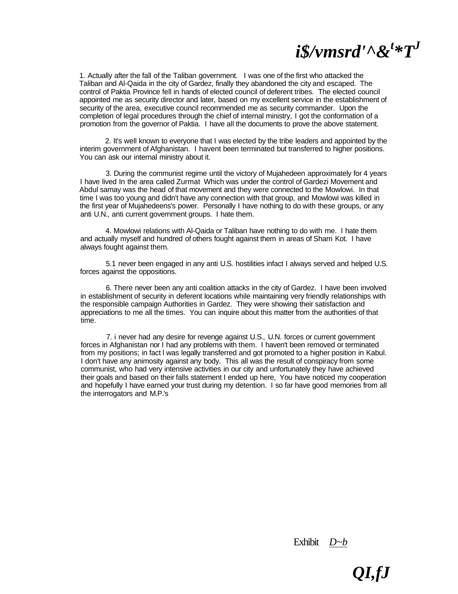# *i\$/vmsrd'^&<sup>t</sup> \*T<sup>J</sup>*

1. Actually after the fall of the Taliban government. I was one of the first who attacked the Taliban and Al-Qaida in the city of Gardez, finally they abandoned the city and escaped. The control of Paktia Province fell in hands of elected council of deferent tribes. The elected council appointed me as security director and later, based on my excellent service in the establishment of security of the area, executive council recommended me as security commander. Upon the completion of legal procedures through the chief of internal ministry, I got the conformation of a promotion from the governor of Paktia. I have all the documents to prove the above statement.

2. It's well known to everyone that I was elected by the tribe leaders and appointed by the interim government of Afghanistan. I havent been terminated but transferred to higher positions. You can ask our internal ministry about it.

3. During the communist regime until the victory of Mujahedeen approximately for 4 years I have lived In the area called Zurmat Which was under the control of Gardezi Movement and Abdul samay was the head of that movement and they were connected to the Mowlowi. In that time I was too young and didn't have any connection with that group, and Mowlowi was killed in the first year of Mujahedeens's power. Personally I have nothing to do with these groups, or any anti U.N., anti current government groups. I hate them.

4. Mowlowi relations with Al-Qaida or Taliban have nothing to do with me. I hate them and actually myself and hundred of others fought against them in areas of Sharri Kot. I have always fought against them.

5.1 never been engaged in any anti U.S. hostilities infact I always served and helped U.S. forces against the oppositions.

6. There never been any anti coalition attacks in the city of Gardez. I have been involved in establishment of security in deferent locations while maintaining very friendly relationships with the responsible campaign Authorities in Gardez. They were showing their satisfaction and appreciations to me all the times. You can inquire about this matter from the authorities of that time.

7. i never had any desire for revenge against U.S., U.N. forces or current government forces in Afghanistan nor I had any problems with them. I haven't been removed or terminated from my positions; in fact l was legally transferred and got promoted to a higher position in Kabul. I don't have any animosity against any body. This all was the result of conspiracy from some communist, who had very intensive activities in our city and unfortunately they have achieved their goals and based on their falls statement I ended up here, You have noticed my cooperation and hopefully I have earned your trust during my detention. I so far have good memories from all the interrogators and M.P.'s

Exhibit *D~b*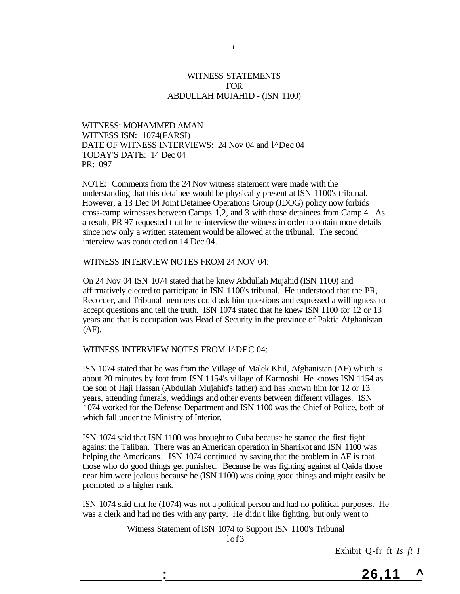#### WITNESS STATEMENTS FOR ABDULLAH MUJAH1D - (ISN 1100)

WITNESS: MOHAMMED AMAN WITNESS ISN: 1074(FARSI) DATE OF WITNESS INTERVIEWS: 24 Nov 04 and l^Dec 04 TODAY'S DATE: 14 Dec 04 PR: 097

NOTE: Comments from the 24 Nov witness statement were made with the understanding that this detainee would be physically present at ISN 1100's tribunal. However, a 13 Dec 04 Joint Detainee Operations Group (JDOG) policy now forbids cross-camp witnesses between Camps 1,2, and 3 with those detainees from Camp 4. As a result, PR 97 requested that he re-interview the witness in order to obtain more details since now only a written statement would be allowed at the tribunal. The second interview was conducted on 14 Dec 04.

#### WITNESS INTERVIEW NOTES FROM 24 NOV 04:

On 24 Nov 04 ISN 1074 stated that he knew Abdullah Mujahid (ISN 1100) and affirmatively elected to participate in ISN 1100's tribunal. He understood that the PR, Recorder, and Tribunal members could ask him questions and expressed a willingness to accept questions and tell the truth. ISN 1074 stated that he knew ISN 1100 for 12 or 13 years and that is occupation was Head of Security in the province of Paktia Afghanistan (AF).

#### WITNESS INTERVIEW NOTES FROM 1^DEC 04:

ISN 1074 stated that he was from the Village of Malek Khil, Afghanistan (AF) which is about 20 minutes by foot from ISN 1154's village of Karmoshi. He knows ISN 1154 as the son of Haji Hassan (Abdullah Mujahid's father) and has known him for 12 or 13 years, attending funerals, weddings and other events between different villages. ISN 1074 worked for the Defense Department and ISN 1100 was the Chief of Police, both of which fall under the Ministry of Interior.

ISN 1074 said that ISN 1100 was brought to Cuba because he started the first fight against the Taliban. There was an American operation in Sharrikot and ISN 1100 was helping the Americans. ISN 1074 continued by saying that the problem in AF is that those who do good things get punished. Because he was fighting against al Qaida those near him were jealous because he (ISN 1100) was doing good things and might easily be promoted to a higher rank.

ISN 1074 said that he (1074) was not a political person and had no political purposes. He was a clerk and had no ties with any party. He didn't like fighting, but only went to

> Witness Statement of ISN 1074 to Support ISN 1100's Tribunal lof3

> > Exhibit Q-fr ft *Is ft I*

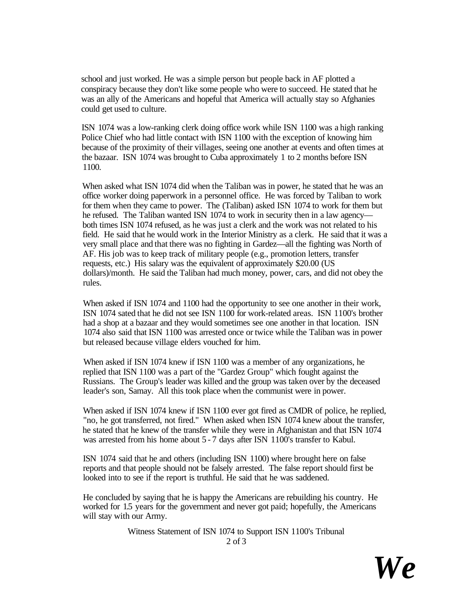school and just worked. He was a simple person but people back in AF plotted a conspiracy because they don't like some people who were to succeed. He stated that he was an ally of the Americans and hopeful that America will actually stay so Afghanies could get used to culture.

ISN 1074 was a low-ranking clerk doing office work while ISN 1100 was a high ranking Police Chief who had little contact with ISN 1100 with the exception of knowing him because of the proximity of their villages, seeing one another at events and often times at the bazaar. ISN 1074 was brought to Cuba approximately 1 to 2 months before ISN 1100.

When asked what ISN 1074 did when the Taliban was in power, he stated that he was an office worker doing paperwork in a personnel office. He was forced by Taliban to work for them when they came to power. The (Taliban) asked ISN 1074 to work for them but he refused. The Taliban wanted ISN 1074 to work in security then in a law agency both times ISN 1074 refused, as he was just a clerk and the work was not related to his field. He said that he would work in the Interior Ministry as a clerk. He said that it was a very small place and that there was no fighting in Gardez—all the fighting was North of AF. His job was to keep track of military people (e.g., promotion letters, transfer requests, etc.) His salary was the equivalent of approximately \$20.00 (US dollars)/month. He said the Taliban had much money, power, cars, and did not obey the rules.

When asked if ISN 1074 and 1100 had the opportunity to see one another in their work, ISN 1074 sated that he did not see ISN 1100 for work-related areas. ISN 1100's brother had a shop at a bazaar and they would sometimes see one another in that location. ISN 1074 also said that ISN 1100 was arrested once or twice while the Taliban was in power but released because village elders vouched for him.

When asked if ISN 1074 knew if ISN 1100 was a member of any organizations, he replied that ISN 1100 was a part of the "Gardez Group" which fought against the Russians. The Group's leader was killed and the group was taken over by the deceased leader's son, Samay. All this took place when the communist were in power.

When asked if ISN 1074 knew if ISN 1100 ever got fired as CMDR of police, he replied, "no, he got transferred, not fired." When asked when ISN 1074 knew about the transfer, he stated that he knew of the transfer while they were in Afghanistan and that ISN 1074 was arrested from his home about  $5 - 7$  days after ISN 1100's transfer to Kabul.

ISN 1074 said that he and others (including ISN 1100) where brought here on false reports and that people should not be falsely arrested. The false report should first be looked into to see if the report is truthful. He said that he was saddened.

He concluded by saying that he is happy the Americans are rebuilding his country. He worked for 1.5 years for the government and never got paid; hopefully, the Americans will stay with our Army.

> Witness Statement of ISN 1074 to Support ISN 1100's Tribunal 2 of 3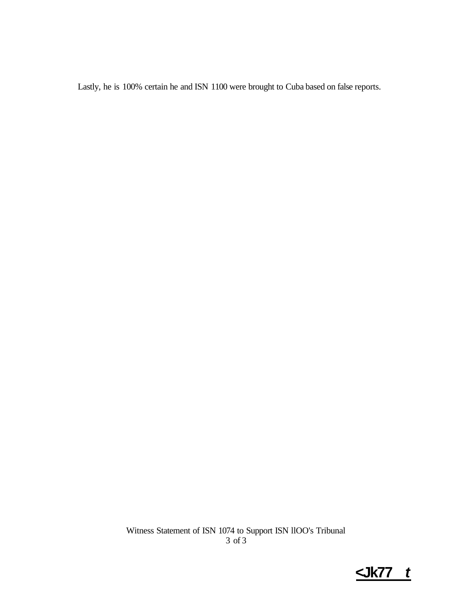Lastly, he is 100% certain he and ISN 1100 were brought to Cuba based on false reports.

Witness Statement of ISN 1074 to Support ISN llOO's Tribunal 3 of 3

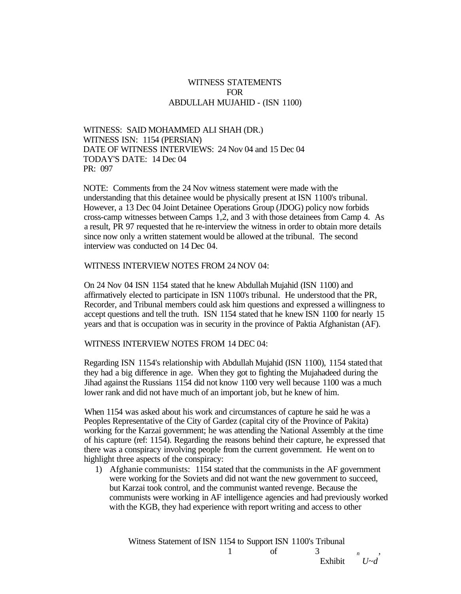#### WITNESS STATEMENTS FOR ABDULLAH MUJAHID - (ISN 1100)

WITNESS: SAID MOHAMMED ALI SHAH (DR.) WITNESS ISN: 1154 (PERSIAN) DATE OF WITNESS INTERVIEWS: 24 Nov 04 and 15 Dec 04 TODAY'S DATE: 14 Dec 04 PR: 097

NOTE: Comments from the 24 Nov witness statement were made with the understanding that this detainee would be physically present at ISN 1100's tribunal. However, a 13 Dec 04 Joint Detainee Operations Group (JDOG) policy now forbids cross-camp witnesses between Camps 1,2, and 3 with those detainees from Camp 4. As a result, PR 97 requested that he re-interview the witness in order to obtain more details since now only a written statement would be allowed at the tribunal. The second interview was conducted on 14 Dec 04.

#### WITNESS INTERVIEW NOTES FROM 24 NOV 04:

On 24 Nov 04 ISN 1154 stated that he knew Abdullah Mujahid (ISN 1100) and affirmatively elected to participate in ISN 1100's tribunal. He understood that the PR, Recorder, and Tribunal members could ask him questions and expressed a willingness to accept questions and tell the truth. ISN 1154 stated that he knew ISN 1100 for nearly 15 years and that is occupation was in security in the province of Paktia Afghanistan (AF).

WITNESS INTERVIEW NOTES FROM 14 DEC 04:

Regarding ISN 1154's relationship with Abdullah Mujahid (ISN 1100), 1154 stated that they had a big difference in age. When they got to fighting the Mujahadeed during the Jihad against the Russians 1154 did not know 1100 very well because 1100 was a much lower rank and did not have much of an important job, but he knew of him.

When 1154 was asked about his work and circumstances of capture he said he was a Peoples Representative of the City of Gardez (capital city of the Province of Pakita) working for the Karzai government; he was attending the National Assembly at the time of his capture (ref: 1154). Regarding the reasons behind their capture, he expressed that there was a conspiracy involving people from the current government. He went on to highlight three aspects of the conspiracy:

1) Afghanie communists: 1154 stated that the communists in the AF government were working for the Soviets and did not want the new government to succeed, but Karzai took control, and the communist wanted revenge. Because the communists were working in AF intelligence agencies and had previously worked with the KGB, they had experience with report writing and access to other

> Witness Statement of ISN 1154 to Support ISN 1100's Tribunal 1 of 3 *n*,

Exhibit *U~d*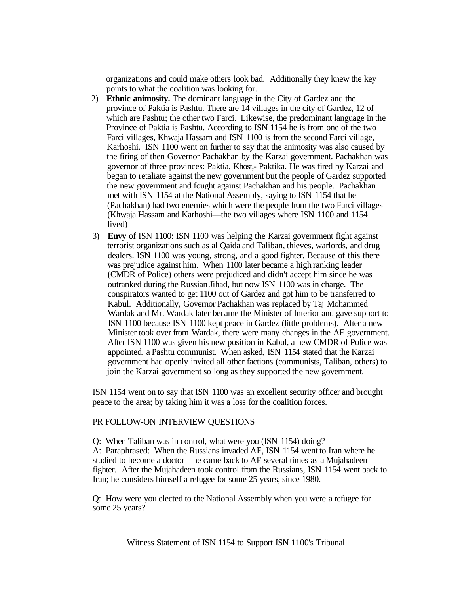organizations and could make others look bad. Additionally they knew the key points to what the coalition was looking for.

- 2) **Ethnic animosity.** The dominant language in the City of Gardez and the province of Paktia is Pashtu. There are 14 villages in the city of Gardez, 12 of which are Pashtu; the other two Farci. Likewise, the predominant language in the Province of Paktia is Pashtu. According to ISN 1154 he is from one of the two Farci villages, Khwaja Hassam and ISN 1100 is from the second Farci village, Karhoshi. ISN 1100 went on further to say that the animosity was also caused by the firing of then Governor Pachakhan by the Karzai government. Pachakhan was governor of three provinces: Paktia, Khost,- Paktika. He was fired by Karzai and began to retaliate against the new government but the people of Gardez supported the new government and fought against Pachakhan and his people. Pachakhan met with ISN 1154 at the National Assembly, saying to ISN 1154 that he (Pachakhan) had two enemies which were the people from the two Farci villages (Khwaja Hassam and Karhoshi—the two villages where ISN 1100 and 1154 lived)
- 3) **Envy** of ISN 1100: ISN 1100 was helping the Karzai government fight against terrorist organizations such as al Qaida and Taliban, thieves, warlords, and drug dealers. ISN 1100 was young, strong, and a good fighter. Because of this there was prejudice against him. When 1100 later became a high ranking leader (CMDR of Police) others were prejudiced and didn't accept him since he was outranked during the Russian Jihad, but now ISN 1100 was in charge. The conspirators wanted to get 1100 out of Gardez and got him to be transferred to Kabul. Additionally, Governor Pachakhan was replaced by Taj Mohammed Wardak and Mr. Wardak later became the Minister of Interior and gave support to ISN 1100 because ISN 1100 kept peace in Gardez (little problems). After a new Minister took over from Wardak, there were many changes in the AF government. After ISN 1100 was given his new position in Kabul, a new CMDR of Police was appointed, a Pashtu communist. When asked, ISN 1154 stated that the Karzai government had openly invited all other factions (communists, Taliban, others) to join the Karzai government so long as they supported the new government.

ISN 1154 went on to say that ISN 1100 was an excellent security officer and brought peace to the area; by taking him it was a loss for the coalition forces.

#### PR FOLLOW-ON INTERVIEW QUESTIONS

Q: When Taliban was in control, what were you (ISN 1154) doing? A: Paraphrased: When the Russians invaded AF, ISN 1154 went to Iran where he studied to become a doctor—he came back to AF several times as a Mujahadeen fighter. After the Mujahadeen took control from the Russians, ISN 1154 went back to Iran; he considers himself a refugee for some 25 years, since 1980.

Q: How were you elected to the National Assembly when you were a refugee for some 25 years?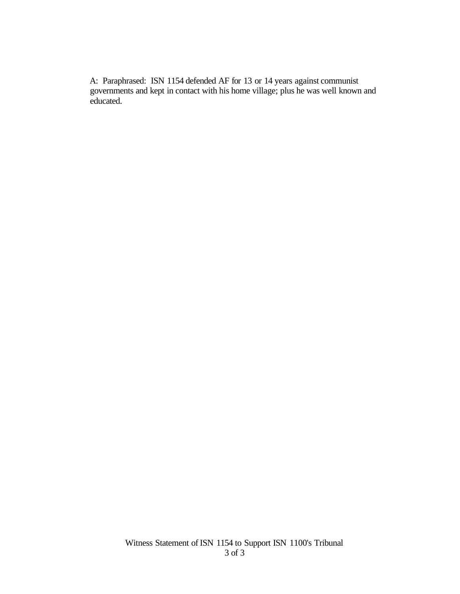A: Paraphrased: ISN 1154 defended AF for 13 or 14 years against communist governments and kept in contact with his home village; plus he was well known and educated.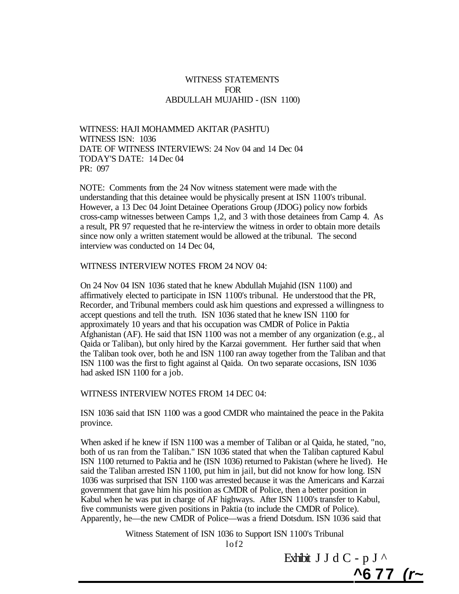#### WITNESS STATEMENTS FOR ABDULLAH MUJAHID - (ISN 1100)

WITNESS: HAJI MOHAMMED AKITAR (PASHTU) WITNESS ISN: 1036 DATE OF WITNESS INTERVIEWS: 24 Nov 04 and 14 Dec 04 TODAY'S DATE: 14 Dec 04 PR: 097

NOTE: Comments from the 24 Nov witness statement were made with the understanding that this detainee would be physically present at ISN 1100's tribunal. However, a 13 Dec 04 Joint Detainee Operations Group (JDOG) policy now forbids cross-camp witnesses between Camps 1,2, and 3 with those detainees from Camp 4. As a result, PR 97 requested that he re-interview the witness in order to obtain more details since now only a written statement would be allowed at the tribunal. The second interview was conducted on 14 Dec 04,

#### WITNESS INTERVIEW NOTES FROM 24 NOV 04:

On 24 Nov 04 ISN 1036 stated that he knew Abdullah Mujahid (ISN 1100) and affirmatively elected to participate in ISN 1100's tribunal. He understood that the PR, Recorder, and Tribunal members could ask him questions and expressed a willingness to accept questions and tell the truth. ISN 1036 stated that he knew ISN 1100 for approximately 10 years and that his occupation was CMDR of Police in Paktia Afghanistan (AF). He said that ISN 1100 was not a member of any organization (e.g., al Qaida or Taliban), but only hired by the Karzai government. Her further said that when the Taliban took over, both he and ISN 1100 ran away together from the Taliban and that ISN 1100 was the first to fight against al Qaida. On two separate occasions, ISN 1036 had asked ISN 1100 for a job.

WITNESS INTERVIEW NOTES FROM 14 DEC 04:

ISN 1036 said that ISN 1100 was a good CMDR who maintained the peace in the Pakita province.

When asked if he knew if ISN 1100 was a member of Taliban or al Qaida, he stated, "no, both of us ran from the Taliban." ISN 1036 stated that when the Taliban captured Kabul ISN 1100 returned to Paktia and he (ISN 1036) returned to Pakistan (where he lived). He said the Taliban arrested ISN 1100, put him in jail, but did not know for how long. ISN 1036 was surprised that ISN 1100 was arrested because it was the Americans and Karzai government that gave him his position as CMDR of Police, then a better position in Kabul when he was put in charge of AF highways. After ISN 1100's transfer to Kabul, five communists were given positions in Paktia (to include the CMDR of Police). Apparently, he—the new CMDR of Police—was a friend Dotsdum. ISN 1036 said that

> Witness Statement of ISN 1036 to Support ISN 1100's Tribunal lof2

> > Exhibit J J d C - p J  $\wedge$ **^6 77 (r~**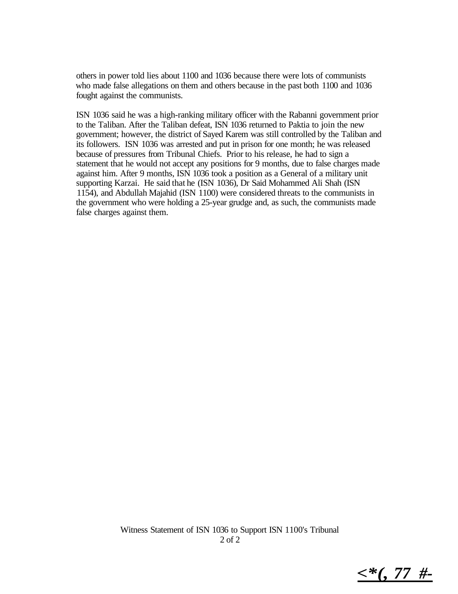others in power told lies about 1100 and 1036 because there were lots of communists who made false allegations on them and others because in the past both 1100 and 1036 fought against the communists.

ISN 1036 said he was a high-ranking military officer with the Rabanni government prior to the Taliban. After the Taliban defeat, ISN 1036 returned to Paktia to join the new government; however, the district of Sayed Karem was still controlled by the Taliban and its followers. ISN 1036 was arrested and put in prison for one month; he was released because of pressures from Tribunal Chiefs. Prior to his release, he had to sign a statement that he would not accept any positions for 9 months, due to false charges made against him. After 9 months, ISN 1036 took a position as a General of a military unit supporting Karzai. He said that he (ISN 1036), Dr Said Mohammed Ali Shah (ISN 1154), and Abdullah Majahid (ISN 1100) were considered threats to the communists in the government who were holding a 25-year grudge and, as such, the communists made false charges against them.

*<\*(, 77 #-*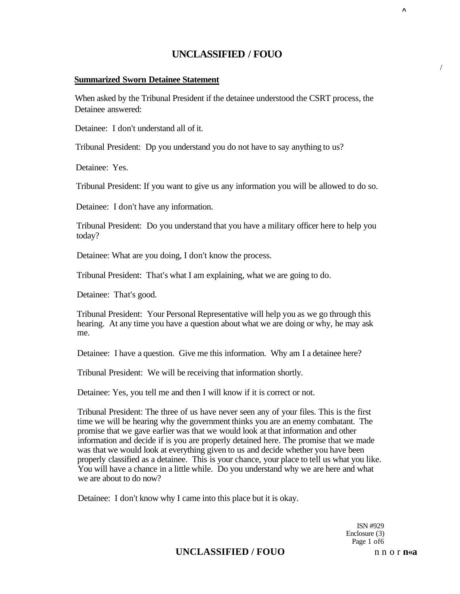#### **Summarized Sworn Detainee Statement**

When asked by the Tribunal President if the detainee understood the CSRT process, the Detainee answered:

Detainee: I don't understand all of it.

Tribunal President: Dp you understand you do not have to say anything to us?

Detainee: Yes.

Tribunal President: If you want to give us any information you will be allowed to do so.

Detainee: I don't have any information.

Tribunal President: Do you understand that you have a military officer here to help you today?

Detainee: What are you doing, I don't know the process.

Tribunal President: That's what I am explaining, what we are going to do.

Detainee: That's good.

Tribunal President: Your Personal Representative will help you as we go through this hearing. At any time you have a question about what we are doing or why, he may ask me.

Detainee: I have a question. Give me this information. Why am I a detainee here?

Tribunal President: We will be receiving that information shortly.

Detainee: Yes, you tell me and then I will know if it is correct or not.

Tribunal President: The three of us have never seen any of your files. This is the first time we will be hearing why the government thinks you are an enemy combatant. The promise that we gave earlier was that we would look at that information and other information and decide if is you are properly detained here. The promise that we made was that we would look at everything given to us and decide whether you have been properly classified as a detainee. This is your chance, your place to tell us what you like. You will have a chance in a little while. Do you understand why we are here and what we are about to do now?

Detainee: I don't know why I came into this place but it is okay.

ISN #929 Enclosure (3) Page 1 of6

# **UNCLASSIFIED / FOUO** n n o r n«a

**^** 

/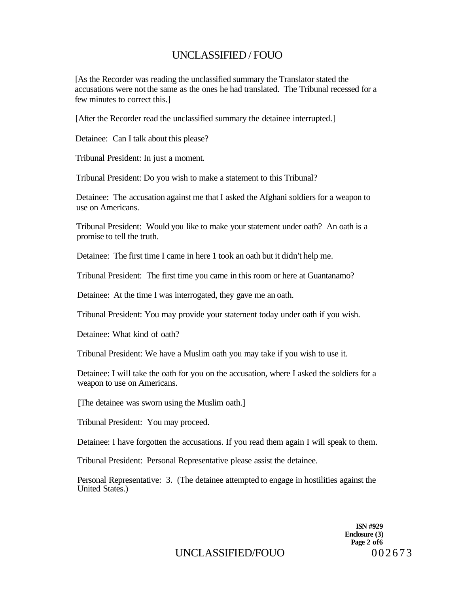[As the Recorder was reading the unclassified summary the Translator stated the accusations were not the same as the ones he had translated. The Tribunal recessed for a few minutes to correct this.]

[After the Recorder read the unclassified summary the detainee interrupted.]

Detainee: Can I talk about this please?

Tribunal President: In just a moment.

Tribunal President: Do you wish to make a statement to this Tribunal?

Detainee: The accusation against me that I asked the Afghani soldiers for a weapon to use on Americans.

Tribunal President: Would you like to make your statement under oath? An oath is a promise to tell the truth.

Detainee: The first time I came in here 1 took an oath but it didn't help me.

Tribunal President: The first time you came in this room or here at Guantanamo?

Detainee: At the time I was interrogated, they gave me an oath.

Tribunal President: You may provide your statement today under oath if you wish.

Detainee: What kind of oath?

Tribunal President: We have a Muslim oath you may take if you wish to use it.

Detainee: I will take the oath for you on the accusation, where I asked the soldiers for a weapon to use on Americans.

[The detainee was sworn using the Muslim oath.]

Tribunal President: You may proceed.

Detainee: I have forgotten the accusations. If you read them again I will speak to them.

Tribunal President: Personal Representative please assist the detainee.

Personal Representative: 3. (The detainee attempted to engage in hostilities against the United States.)

> **ISN #929 Enclosure (3) Page 2 of6**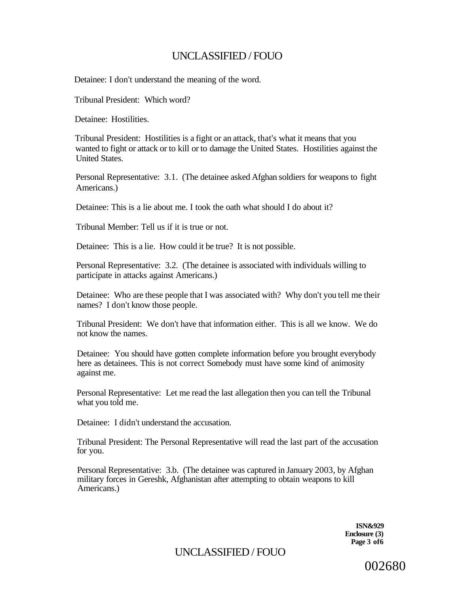Detainee: I don't understand the meaning of the word.

Tribunal President: Which word?

Detainee: Hostilities.

Tribunal President: Hostilities is a fight or an attack, that's what it means that you wanted to fight or attack or to kill or to damage the United States. Hostilities against the United States.

Personal Representative: 3.1. (The detainee asked Afghan soldiers for weapons to fight Americans.)

Detainee: This is a lie about me. I took the oath what should I do about it?

Tribunal Member: Tell us if it is true or not.

Detainee: This is a lie. How could it be true? It is not possible.

Personal Representative: 3.2. (The detainee is associated with individuals willing to participate in attacks against Americans.)

Detainee: Who are these people that I was associated with? Why don't you tell me their names? I don't know those people.

Tribunal President: We don't have that information either. This is all we know. We do not know the names.

Detainee: You should have gotten complete information before you brought everybody here as detainees. This is not correct Somebody must have some kind of animosity against me.

Personal Representative: Let me read the last allegation then you can tell the Tribunal what you told me.

Detainee: I didn't understand the accusation.

Tribunal President: The Personal Representative will read the last part of the accusation for you.

Personal Representative: 3.b. (The detainee was captured in January 2003, by Afghan military forces in Gereshk, Afghanistan after attempting to obtain weapons to kill Americans.)

> **ISN&929 Enclosure (3) Page 3 of6**

UNCLASSIFIED / FOUO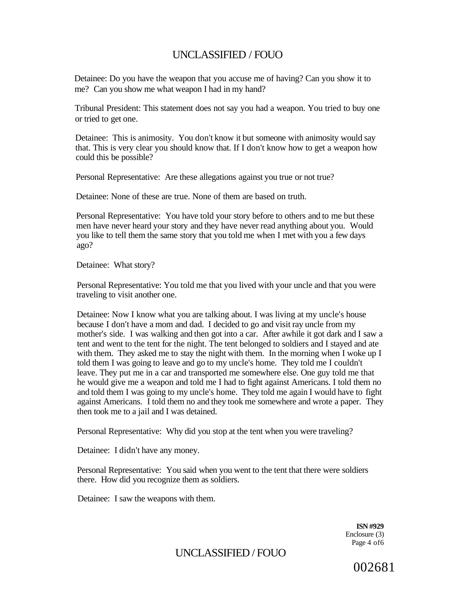Detainee: Do you have the weapon that you accuse me of having? Can you show it to me? Can you show me what weapon I had in my hand?

Tribunal President: This statement does not say you had a weapon. You tried to buy one or tried to get one.

Detainee: This is animosity. You don't know it but someone with animosity would say that. This is very clear you should know that. If I don't know how to get a weapon how could this be possible?

Personal Representative: Are these allegations against you true or not true?

Detainee: None of these are true. None of them are based on truth.

Personal Representative: You have told your story before to others and to me but these men have never heard your story and they have never read anything about you. Would you like to tell them the same story that you told me when I met with you a few days ago?

Detainee: What story?

Personal Representative: You told me that you lived with your uncle and that you were traveling to visit another one.

Detainee: Now I know what you are talking about. I was living at my uncle's house because I don't have a mom and dad. I decided to go and visit ray uncle from my mother's side. I was walking and then got into a car. After awhile it got dark and I saw a tent and went to the tent for the night. The tent belonged to soldiers and I stayed and ate with them. They asked me to stay the night with them. In the morning when I woke up I told them I was going to leave and go to my uncle's home. They told me I couldn't leave. They put me in a car and transported me somewhere else. One guy told me that he would give me a weapon and told me I had to fight against Americans. I told them no and told them I was going to my uncle's home. They told me again I would have to fight against Americans. I told them no and they took me somewhere and wrote a paper. They then took me to a jail and I was detained.

Personal Representative: Why did you stop at the tent when you were traveling?

Detainee: I didn't have any money.

Personal Representative: You said when you went to the tent that there were soldiers there. How did you recognize them as soldiers.

Detainee: I saw the weapons with them.

**ISN #929**  Enclosure (3) Page 4 of6

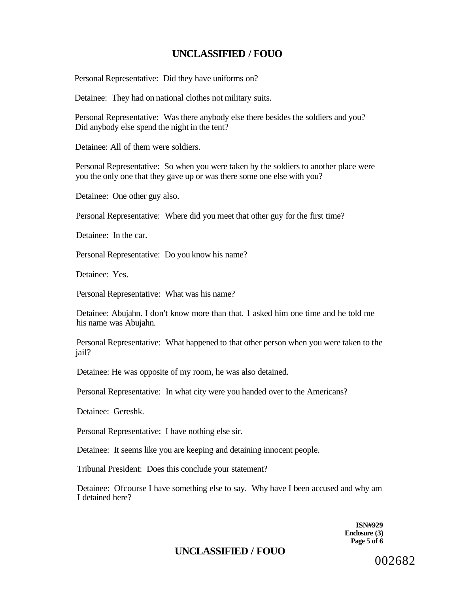Personal Representative: Did they have uniforms on?

Detainee: They had on national clothes not military suits.

Personal Representative: Was there anybody else there besides the soldiers and you? Did anybody else spend the night in the tent?

Detainee: All of them were soldiers.

Personal Representative: So when you were taken by the soldiers to another place were you the only one that they gave up or was there some one else with you?

Detainee: One other guy also.

Personal Representative: Where did you meet that other guy for the first time?

Detainee: In the car.

Personal Representative: Do you know his name?

Detainee: Yes.

Personal Representative: What was his name?

Detainee: Abujahn. I don't know more than that. 1 asked him one time and he told me his name was Abujahn.

Personal Representative: What happened to that other person when you were taken to the jail?

Detainee: He was opposite of my room, he was also detained.

Personal Representative: In what city were you handed over to the Americans?

Detainee: Gereshk.

Personal Representative: I have nothing else sir.

Detainee: It seems like you are keeping and detaining innocent people.

Tribunal President: Does this conclude your statement?

Detainee: Ofcourse I have something else to say. Why have I been accused and why am I detained here?

> **ISN#929 Enclosure (3) Page 5 of 6**

# **UNCLASSIFIED / FOUO**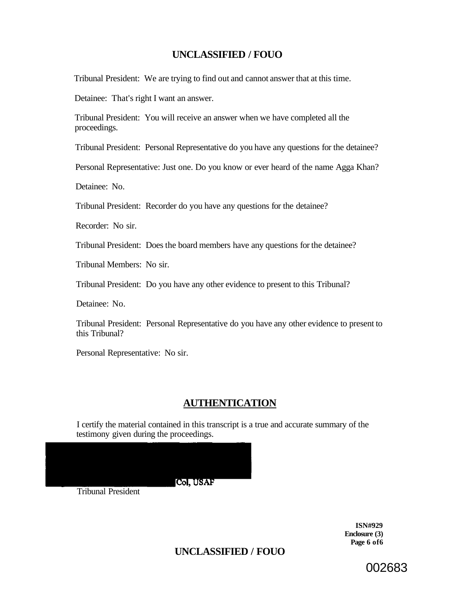Tribunal President: We are trying to find out and cannot answer that at this time.

Detainee: That's right I want an answer.

Tribunal President: You will receive an answer when we have completed all the proceedings.

Tribunal President: Personal Representative do you have any questions for the detainee?

Personal Representative: Just one. Do you know or ever heard of the name Agga Khan?

Detainee: No.

Tribunal President: Recorder do you have any questions for the detainee?

Recorder: No sir.

Tribunal President: Does the board members have any questions for the detainee?

Tribunal Members: No sir.

Tribunal President: Do you have any other evidence to present to this Tribunal?

Detainee: No.

Tribunal President: Personal Representative do you have any other evidence to present to this Tribunal?

Personal Representative: No sir.

# **AUTHENTICATION**

I certify the material contained in this transcript is a true and accurate summary of the testimony given during the proceedings.

Col. USAF

Tribunal President

**ISN#929 Enclosure (3) Page 6 of6** 

**UNCLASSIFIED / FOUO**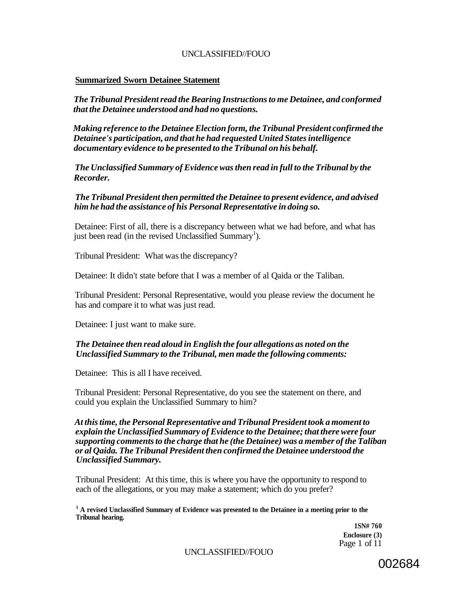#### **Summarized Sworn Detainee Statement**

*The Tribunal President read the Bearing Instructions to me Detainee, and conformed that the Detainee understood and had no questions.* 

*Making reference to the Detainee Election form, the Tribunal President confirmed the Detainee's participation, and that he had requested United States intelligence documentary evidence to be presented to the Tribunal on his behalf.* 

*The Unclassified Summary of Evidence was then read in full to the Tribunal by the Recorder.* 

*The Tribunal President then permitted the Detainee to present evidence, and advised him he had the assistance of his Personal Representative in doing so.* 

Detainee: First of all, there is a discrepancy between what we had before, and what has just been read (in the revised Unclassified Summary<sup>1</sup>).

Tribunal President: What was the discrepancy?

Detainee: It didn't state before that I was a member of al Qaida or the Taliban.

Tribunal President: Personal Representative, would you please review the document he has and compare it to what was just read.

Detainee: I just want to make sure.

#### *The Detainee then read aloud in English the four allegations as noted on the Unclassified Summary to the Tribunal, men made the following comments:*

Detainee: This is all I have received.

Tribunal President: Personal Representative, do you see the statement on there, and could you explain the Unclassified Summary to him?

*At this time, the Personal Representative and Tribunal President took a moment to explain the Unclassified Summary of Evidence to the Detainee; that there were four supporting comments to the charge that he (the Detainee) was a member of the Taliban or al Qaida. The Tribunal President then confirmed the Detainee understood the Unclassified Summary.* 

Tribunal President: At this time, this is where you have the opportunity to respond to each of the allegations, or you may make a statement; which do you prefer?

<sup>1</sup> A revised Unclassified Summary of Evidence was presented to the Detainee in a meeting prior to the **Tribunal hearing.** 

**1SN# 760 Enclosure (3)**  Page 1 of 11

UNCLASSIFIED//FOUO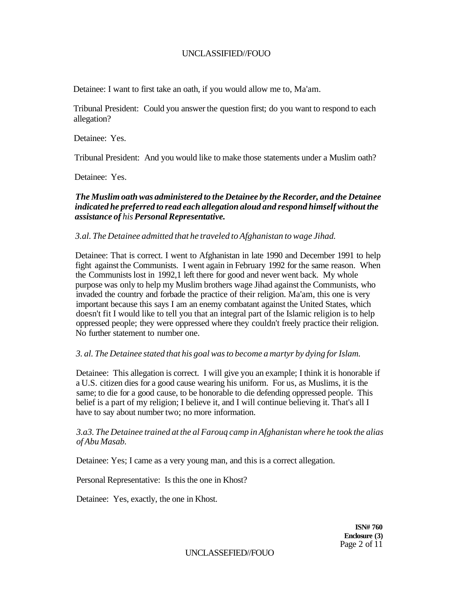Detainee: I want to first take an oath, if you would allow me to, Ma'am.

Tribunal President: Could you answer the question first; do you want to respond to each allegation?

Detainee: Yes.

Tribunal President: And you would like to make those statements under a Muslim oath?

Detainee: Yes.

#### *The Muslim oath was administered to the Detainee by the Recorder, and the Detainee indicated he preferred to read each allegation aloud and respond himself without the assistance of his Personal Representative.*

#### *3.al. The Detainee admitted that he traveled to Afghanistan to wage Jihad.*

Detainee: That is correct. I went to Afghanistan in late 1990 and December 1991 to help fight against the Communists. I went again in February 1992 for the same reason. When the Communists lost in 1992,1 left there for good and never went back. My whole purpose was only to help my Muslim brothers wage Jihad against the Communists, who invaded the country and forbade the practice of their religion. Ma'am, this one is very important because this says I am an enemy combatant against the United States, which doesn't fit I would like to tell you that an integral part of the Islamic religion is to help oppressed people; they were oppressed where they couldn't freely practice their religion. No further statement to number one.

#### *3. al. The Detainee stated that his goal was to become a martyr by dying for Islam.*

Detainee: This allegation is correct. I will give you an example; I think it is honorable if a U.S. citizen dies for a good cause wearing his uniform. For us, as Muslims, it is the same; to die for a good cause, to be honorable to die defending oppressed people. This belief is a part of my religion; I believe it, and I will continue believing it. That's all I have to say about number two; no more information.

*3.a3. The Detainee trained at the al Farouq camp in Afghanistan where he took the alias of Abu Masab.* 

Detainee: Yes; I came as a very young man, and this is a correct allegation.

Personal Representative: Is this the one in Khost?

Detainee: Yes, exactly, the one in Khost.

**ISN# 760 Enclosure (3)**  Page 2 of 11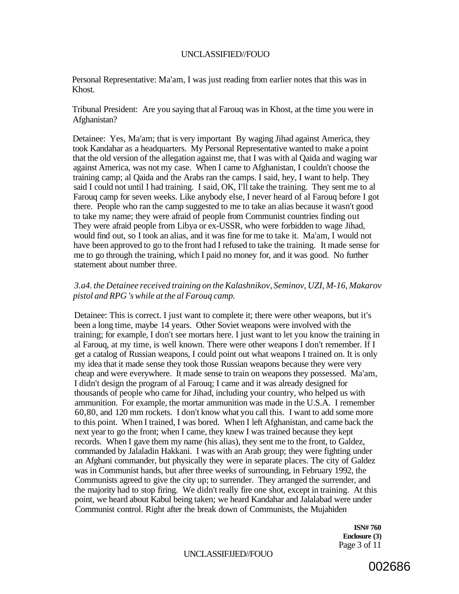Personal Representative: Ma'am, I was just reading from earlier notes that this was in Khost.

Tribunal President: Are you saying that al Farouq was in Khost, at the time you were in Afghanistan?

Detainee: Yes, Ma'am; that is very important By waging Jihad against America, they took Kandahar as a headquarters. My Personal Representative wanted to make a point that the old version of the allegation against me, that I was with al Qaida and waging war against America, was not my case. When I came to Afghanistan, I couldn't choose the training camp; al Qaida and the Arabs ran the camps. I said, hey, I want to help. They said I could not until I had training. I said, OK, I'll take the training. They sent me to al Farouq camp for seven weeks. Like anybody else, I never heard of al Farouq before I got there. People who ran the camp suggested to me to take an alias because it wasn't good to take my name; they were afraid of people from Communist countries finding out They were afraid people from Libya or ex-USSR, who were forbidden to wage Jihad, would find out, so I took an alias, and it was fine for me to take it. Ma'am, I would not have been approved to go to the front had I refused to take the training. It made sense for me to go through the training, which I paid no money for, and it was good. No further statement about number three.

#### *3.a4. the Detainee received training on the Kalashnikov, Seminov, UZI, M-16, Makarov pistol and RPG 's while at the al Farouq camp.*

Detainee: This is correct. I just want to complete it; there were other weapons, but it's been a long time, maybe 14 years. Other Soviet weapons were involved with the training; for example, I don't see mortars here. I just want to let you know the training in al Farouq, at my time, is well known. There were other weapons I don't remember. If I get a catalog of Russian weapons, I could point out what weapons I trained on. It is only my idea that it made sense they took those Russian weapons because they were very cheap and were everywhere. It made sense to train on weapons they possessed. Ma'am, I didn't design the program of al Farouq; I came and it was already designed for thousands of people who came for Jihad, including your country, who helped us with ammunition. For example, the mortar ammunition was made in the U.S.A. I remember 60,80, and 120 mm rockets. I don't know what you call this. I want to add some more to this point. When I trained, I was bored. When I left Afghanistan, and came back the next year to go the front; when I came, they knew I was trained because they kept records. When I gave them my name (his alias), they sent me to the front, to Galdez, commanded by Jalaladin Hakkani. I was with an Arab group; they were fighting under an Afghani commander, but physically they were in separate places. The city of Galdez was in Communist hands, but after three weeks of surrounding, in February 1992, the Communists agreed to give the city up; to surrender. They arranged the surrender, and the majority had to stop firing. We didn't really fire one shot, except in training. At this point, we heard about Kabul being taken; we heard Kandahar and Jalalabad were under Communist control. Right after the break down of Communists, the Mujahiden

> **ISN# 760 Enclosure (3)**  Page 3 of 11

#### UNCLASSIFJJED//FOUO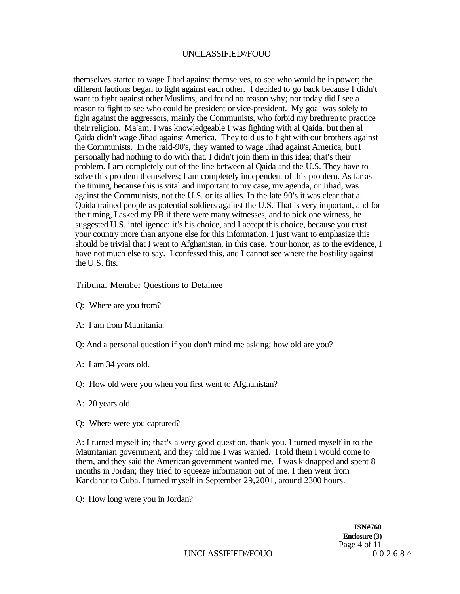themselves started to wage Jihad against themselves, to see who would be in power; the different factions began to fight against each other. I decided to go back because I didn't want to fight against other Muslims, and found no reason why; nor today did I see a reason to fight to see who could be president or vice-president. My goal was solely to fight against the aggressors, mainly the Communists, who forbid my brethren to practice their religion. Ma'am, I was knowledgeable I was fighting with al Qaida, but then al Qaida didn't wage Jihad against America. They told us to fight with our brothers against the Cornmunists. In the raid-90's, they wanted to wage Jihad against America, but I personally had nothing to do with that. I didn't join them in this idea; that's their problem. I am completely out of the line between al Qaida and the U.S. They have to solve this problem themselves; I am completely independent of this problem. As far as the timing, because this is vital and important to my case, my agenda, or Jihad, was against the Communists, not the U.S. or its allies. In the late 90's it was clear that al Qaida trained people as potential soldiers against the U.S. That is very important, and for the timing, I asked my PR if there were many witnesses, and to pick one witness, he suggested U.S. intelligence; it's his choice, and I accept this choice, because you trust your country more than anyone else for this information. I just want to emphasize this should be trivial that I went to Afghanistan, in this case. Your honor, as to the evidence, I have not much else to say. I confessed this, and I cannot see where the hostility against the U.S. fits.

Tribunal Member Questions to Detainee

- Q: Where are you from?
- A: I am from Mauritania.
- Q: And a personal question if you don't mind me asking; how old are you?
- A: I am 34 years old.
- Q: How old were you when you first went to Afghanistan?
- A: 20 years old.
- Q: Where were you captured?

A: I turned myself in; that's a very good question, thank you. I turned myself in to the Mauritanian government, and they told me I was wanted. I told them I would come to them, and they said the American government wanted me. I was kidnapped and spent 8 months in Jordan; they tried to squeeze information out of me. I then went from Kandahar to Cuba. I turned myself in September 29,2001, around 2300 hours.

Q: How long were you in Jordan?

**ISN#760 Enclosure (3)**  Page 4 of 11<br>0 0 2 6 8  $\land$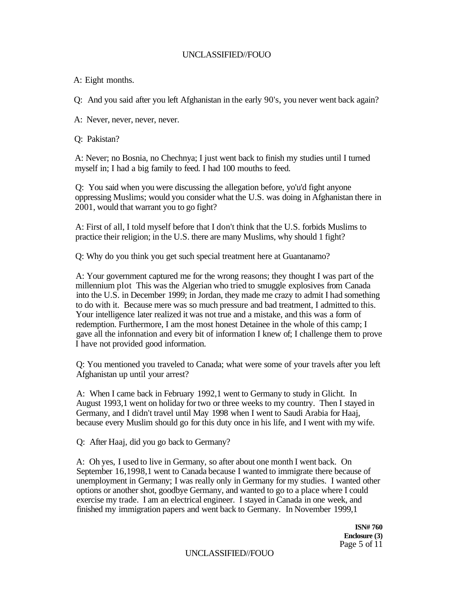A: Eight months.

Q: And you said after you left Afghanistan in the early 90's, you never went back again?

A: Never, never, never, never.

Q: Pakistan?

A: Never; no Bosnia, no Chechnya; I just went back to finish my studies until I turned myself in; I had a big family to feed. I had 100 mouths to feed.

Q: You said when you were discussing the allegation before, yo'u'd fight anyone oppressing Muslims; would you consider what the U.S. was doing in Afghanistan there in 2001, would that warrant you to go fight?

A: First of all, I told myself before that I don't think that the U.S. forbids Muslims to practice their religion; in the U.S. there are many Muslims, why should 1 fight?

Q: Why do you think you get such special treatment here at Guantanamo?

A: Your government captured me for the wrong reasons; they thought I was part of the millennium plot This was the Algerian who tried to smuggle explosives from Canada into the U.S. in December 1999; in Jordan, they made me crazy to admit I had something to do with it. Because mere was so much pressure and bad treatment, I admitted to this. Your intelligence later realized it was not true and a mistake, and this was a form of redemption. Furthermore, I am the most honest Detainee in the whole of this camp; I gave all the infonnation and every bit of information I knew of; I challenge them to prove I have not provided good information.

Q: You mentioned you traveled to Canada; what were some of your travels after you left Afghanistan up until your arrest?

A: When I came back in February 1992,1 went to Germany to study in Glicht. In August 1993,1 went on holiday for two or three weeks to my country. Then I stayed in Germany, and I didn't travel until May 1998 when I went to Saudi Arabia for Haaj, because every Muslim should go for this duty once in his life, and I went with my wife.

Q: After Haaj, did you go back to Germany?

A: Oh yes, I used to live in Germany, so after about one month I went back. On September 16,1998,1 went to Canada because I wanted to immigrate there because of unemployment in Germany; I was really only in Germany for my studies. I wanted other options or another shot, goodbye Germany, and wanted to go to a place where I could exercise my trade. I am an electrical engineer. I stayed in Canada in one week, and finished my immigration papers and went back to Germany. In November 1999,1

> **ISN# 760 Enclosure (3)**  Page 5 of 11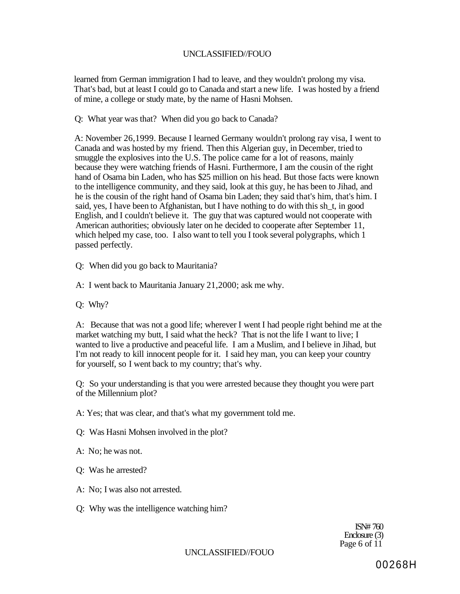learned from German immigration I had to leave, and they wouldn't prolong my visa. That's bad, but at least I could go to Canada and start a new life. I was hosted by a friend of mine, a college or study mate, by the name of Hasni Mohsen.

Q: What year was that? When did you go back to Canada?

A: November 26,1999. Because I learned Germany wouldn't prolong ray visa, I went to Canada and was hosted by my friend. Then this Algerian guy, in December, tried to smuggle the explosives into the U.S. The police came for a lot of reasons, mainly because they were watching friends of Hasni. Furthermore, I am the cousin of the right hand of Osama bin Laden, who has \$25 million on his head. But those facts were known to the intelligence community, and they said, look at this guy, he has been to Jihad, and he is the cousin of the right hand of Osama bin Laden; they said that's him, that's him. I said, yes, I have been to Afghanistan, but I have nothing to do with this sh\_t, in good English, and I couldn't believe it. The guy that was captured would not cooperate with American authorities; obviously later on he decided to cooperate after September 11, which helped my case, too. I also want to tell you I took several polygraphs, which 1 passed perfectly.

Q: When did you go back to Mauritania?

A: I went back to Mauritania January 21,2000; ask me why.

Q: Why?

A: Because that was not a good life; wherever I went I had people right behind me at the market watching my butt, I said what the heck? That is not the life I want to live; I wanted to live a productive and peaceful life. I am a Muslim, and I believe in Jihad, but I'm not ready to kill innocent people for it. I said hey man, you can keep your country for yourself, so I went back to my country; that's why.

Q: So your understanding is that you were arrested because they thought you were part of the Millennium plot?

A: Yes; that was clear, and that's what my government told me.

Q: Was Hasni Mohsen involved in the plot?

A: No; he was not.

Q: Was he arrested?

A: No; I was also not arrested.

Q: Why was the intelligence watching him?

ISN# 760 Enclosure (3) Page 6 of 11

UNCLASSIFIED//FOUO

00268H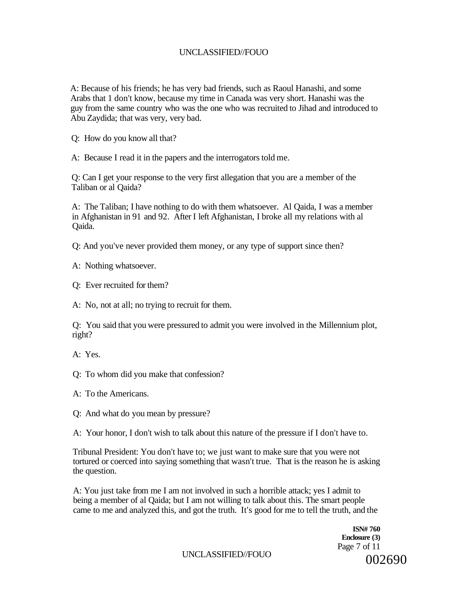A: Because of his friends; he has very bad friends, such as Raoul Hanashi, and some Arabs that 1 don't know, because my time in Canada was very short. Hanashi was the guy from the same country who was the one who was recruited to Jihad and introduced to Abu Zaydida; that was very, very bad.

Q: How do you know all that?

A: Because I read it in the papers and the interrogators told me.

Q: Can I get your response to the very first allegation that you are a member of the Taliban or al Qaida?

A: The Taliban; I have nothing to do with them whatsoever. Al Qaida, I was a member in Afghanistan in 91 and 92. After I left Afghanistan, I broke all my relations with al Qaida.

Q: And you've never provided them money, or any type of support since then?

A: Nothing whatsoever.

Q: Ever recruited for them?

A: No, not at all; no trying to recruit for them.

Q: You said that you were pressured to admit you were involved in the Millennium plot, right?

A: Yes.

Q: To whom did you make that confession?

A: To the Americans.

Q: And what do you mean by pressure?

A: Your honor, I don't wish to talk about this nature of the pressure if I don't have to.

Tribunal President: You don't have to; we just want to make sure that you were not tortured or coerced into saying something that wasn't true. That is the reason he is asking the question.

A: You just take from me I am not involved in such a horrible attack; yes I admit to being a member of al Qaida; but I am not willing to talk about this. The smart people came to me and analyzed this, and got the truth. It's good for me to tell the truth, and the

> **ISN# 760 Enclosure (3)**  Page 7 of 11 002690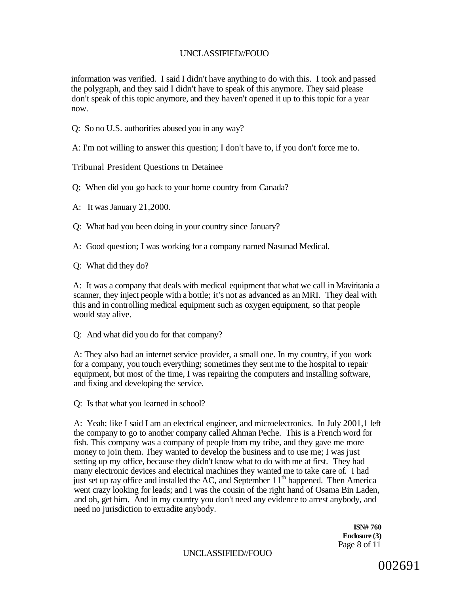information was verified. I said I didn't have anything to do with this. I took and passed the polygraph, and they said I didn't have to speak of this anymore. They said please don't speak of this topic anymore, and they haven't opened it up to this topic for a year now.

Q: So no U.S. authorities abused you in any way?

A: I'm not willing to answer this question; I don't have to, if you don't force me to.

Tribunal President Questions tn Detainee

Q; When did you go back to your home country from Canada?

A: It was January 21,2000.

Q: What had you been doing in your country since January?

A: Good question; I was working for a company named Nasunad Medical.

Q: What did they do?

A: It was a company that deals with medical equipment that what we call in Maviritania a scanner, they inject people with a bottle; it's not as advanced as an MRI. They deal with this and in controlling medical equipment such as oxygen equipment, so that people would stay alive.

Q: And what did you do for that company?

A: They also had an internet service provider, a small one. In my country, if you work for a company, you touch everything; sometimes they sent me to the hospital to repair equipment, but most of the time, I was repairing the computers and installing software, and fixing and developing the service.

Q: Is that what you learned in school?

A: Yeah; like I said I am an electrical engineer, and microelectronics. In July 2001,1 left the company to go to another company called Ahman Peche. This is a French word for fish. This company was a company of people from my tribe, and they gave me more money to join them. They wanted to develop the business and to use me; I was just setting up my office, because they didn't know what to do with me at first. They had many electronic devices and electrical machines they wanted me to take care of. I had just set up ray office and installed the AC, and September  $11<sup>th</sup>$  happened. Then America went crazy looking for leads; and I was the cousin of the right hand of Osama Bin Laden, and oh, get him. And in my country you don't need any evidence to arrest anybody, and need no jurisdiction to extradite anybody.

> **ISN# 760 Enclosure (3)**  Page 8 of 11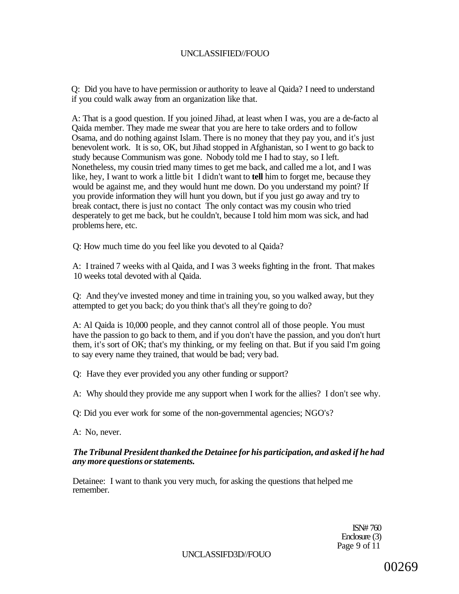Q: Did you have to have permission or authority to leave al Qaida? I need to understand if you could walk away from an organization like that.

A: That is a good question. If you joined Jihad, at least when I was, you are a de-facto al Qaida member. They made me swear that you are here to take orders and to follow Osama, and do nothing against Islam. There is no money that they pay you, and it's just benevolent work. It is so, OK, but Jihad stopped in Afghanistan, so I went to go back to study because Communism was gone. Nobody told me I had to stay, so I left. Nonetheless, my cousin tried many times to get me back, and called me a lot, and I was like, hey, I want to work a little bit I didn't want to **tell** him to forget me, because they would be against me, and they would hunt me down. Do you understand my point? If you provide information they will hunt you down, but if you just go away and try to break contact, there is just no contact The only contact was my cousin who tried desperately to get me back, but he couldn't, because I told him mom was sick, and had problems here, etc.

Q: How much time do you feel like you devoted to al Qaida?

A: I trained 7 weeks with al Qaida, and I was 3 weeks fighting in the front. That makes 10 weeks total devoted with al Qaida.

Q: And they've invested money and time in training you, so you walked away, but they attempted to get you back; do you think that's all they're going to do?

A: Al Qaida is 10,000 people, and they cannot control all of those people. You must have the passion to go back to them, and if you don't have the passion, and you don't hurt them, it's sort of OK; that's my thinking, or my feeling on that. But if you said I'm going to say every name they trained, that would be bad; very bad.

Q: Have they ever provided you any other funding or support?

A: Why should they provide me any support when I work for the allies? I don't see why.

Q: Did you ever work for some of the non-governmental agencies; NGO's?

A: No, never.

#### *The Tribunal President thanked the Detainee for his participation, and asked if he had any more questions or statements.*

Detainee: I want to thank you very much, for asking the questions that helped me remember.

> ISN# 760 Enclosure (3) Page 9 of 11

UNCLASSIFD3D//FOUO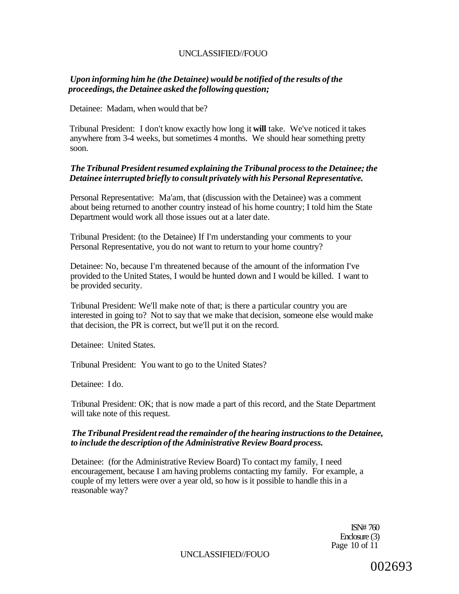## *Upon informing him he (the Detainee) would be notified of the results of the proceedings, the Detainee asked the following question;*

Detainee: Madam, when would that be?

Tribunal President: I don't know exactly how long it **will** take. We've noticed it takes anywhere from 3-4 weeks, but sometimes 4 months. We should hear something pretty soon.

## *The Tribunal President resumed explaining the Tribunal process to the Detainee; the Detainee interrupted briefly to consult privately with his Personal Representative.*

Personal Representative: Ma'am, that (discussion with the Detainee) was a comment about being returned to another country instead of his home country; I told him the State Department would work all those issues out at a later date.

Tribunal President: (to the Detainee) If I'm understanding your comments to your Personal Representative, you do not want to return to your home country?

Detainee: No, because I'm threatened because of the amount of the information I've provided to the United States, I would be hunted down and I would be killed. I want to be provided security.

Tribunal President: We'll make note of that; is there a particular country you are interested in going to? Not to say that we make that decision, someone else would make that decision, the PR is correct, but we'll put it on the record.

Detainee: United States.

Tribunal President: You want to go to the United States?

Detainee: I do.

Tribunal President: OK; that is now made a part of this record, and the State Department will take note of this request.

#### *The Tribunal President read the remainder of the hearing instructions to the Detainee, to include the description of the Administrative Review Board process.*

Detainee: (for the Administrative Review Board) To contact my family, I need encouragement, because I am having problems contacting my family. For example, a couple of my letters were over a year old, so how is it possible to handle this in a reasonable way?

> ISN# 760 Enclosure (3) Page 10 of 11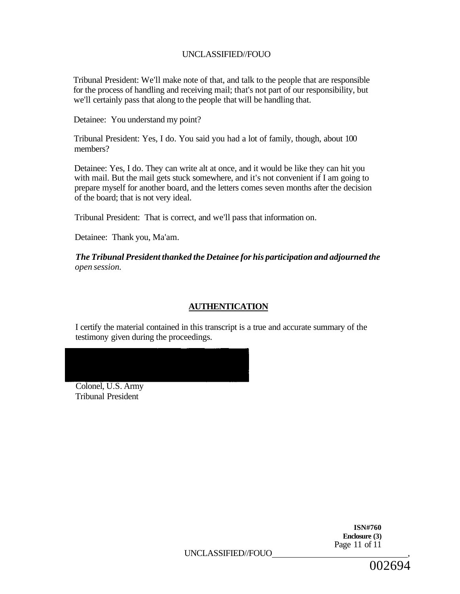Tribunal President: We'll make note of that, and talk to the people that are responsible for the process of handling and receiving mail; that's not part of our responsibility, but we'll certainly pass that along to the people that will be handling that.

Detainee: You understand my point?

Tribunal President: Yes, I do. You said you had a lot of family, though, about 100 members?

Detainee: Yes, I do. They can write alt at once, and it would be like they can hit you with mail. But the mail gets stuck somewhere, and it's not convenient if I am going to prepare myself for another board, and the letters comes seven months after the decision of the board; that is not very ideal.

Tribunal President: That is correct, and we'll pass that information on.

Detainee: Thank you, Ma'am.

*The Tribunal President thanked the Detainee for his participation and adjourned the open session.* 

# **AUTHENTICATION**

I certify the material contained in this transcript is a true and accurate summary of the testimony given during the proceedings.

Colonel, U.S. Army Tribunal President

> **ISN#760 Enclosure (3)**  Page 11 of 11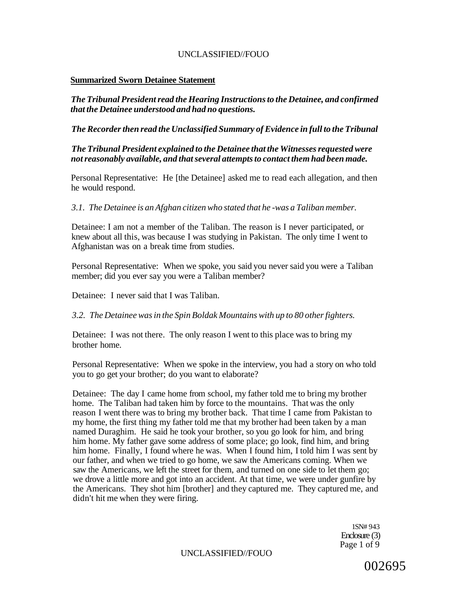#### **Summarized Sworn Detainee Statement**

*The Tribunal President read the Hearing Instructions to the Detainee, and confirmed that the Detainee understood and had no questions.* 

*The Recorder then read the Unclassified Summary of Evidence in full to the Tribunal* 

*The Tribunal President explained to the Detainee that the Witnesses requested were not reasonably available, and that several attempts to contact them had been made.* 

Personal Representative: He [the Detainee] asked me to read each allegation, and then he would respond.

*3.1. The Detainee is an Afghan citizen who stated that he -was a Taliban member.* 

Detainee: I am not a member of the Taliban. The reason is I never participated, or knew about all this, was because I was studying in Pakistan. The only time I went to Afghanistan was on a break time from studies.

Personal Representative: When we spoke, you said you never said you were a Taliban member; did you ever say you were a Taliban member?

Detainee: I never said that I was Taliban.

*3.2. The Detainee was in the Spin Boldak Mountains with up to 80 other fighters.* 

Detainee: I was not there. The only reason I went to this place was to bring my brother home.

Personal Representative: When we spoke in the interview, you had a story on who told you to go get your brother; do you want to elaborate?

Detainee: The day I came home from school, my father told me to bring my brother home. The Taliban had taken him by force to the mountains. That was the only reason I went there was to bring my brother back. That time I came from Pakistan to my home, the first thing my father told me that my brother had been taken by a man named Duraghim. He said he took your brother, so you go look for him, and bring him home. My father gave some address of some place; go look, find him, and bring him home. Finally, I found where he was. When I found him, I told him I was sent by our father, and when we tried to go home, we saw the Americans coming. When we saw the Americans, we left the street for them, and turned on one side to let them go; we drove a little more and got into an accident. At that time, we were under gunfire by the Americans. They shot him [brother] and they captured me. They captured me, and didn't hit me when they were firing.

> 1SN# 943 Enclosure (3) Page 1 of 9

UNCLASSIFIED//FOUO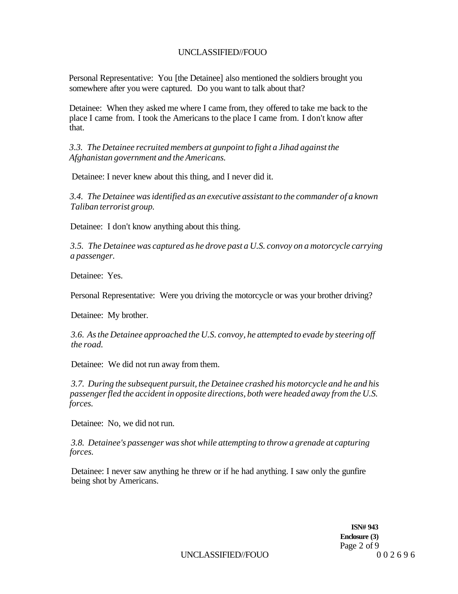Personal Representative: You [the Detainee] also mentioned the soldiers brought you somewhere after you were captured. Do you want to talk about that?

Detainee: When they asked me where I came from, they offered to take me back to the place I came from. I took the Americans to the place I came from. I don't know after that.

*3.3. The Detainee recruited members at gunpoint to fight a Jihad against the Afghanistan government and the Americans.* 

Detainee: I never knew about this thing, and I never did it.

*3.4. The Detainee was identified as an executive assistant to the commander of a known Taliban terrorist group.* 

Detainee: I don't know anything about this thing.

*3.5. The Detainee was captured as he drove past a U.S. convoy on a motorcycle carrying a passenger.* 

Detainee: Yes.

Personal Representative: Were you driving the motorcycle or was your brother driving?

Detainee: My brother.

*3.6. As the Detainee approached the U.S. convoy, he attempted to evade by steering off the road.* 

Detainee: We did not run away from them.

*3.7. During the subsequent pursuit, the Detainee crashed his motorcycle and he and his passenger fled the accident in opposite directions, both were headed away from the U.S. forces.* 

Detainee: No, we did not run.

*3.8. Detainee's passenger was shot while attempting to throw a grenade at capturing forces.* 

Detainee: I never saw anything he threw or if he had anything. I saw only the gunfire being shot by Americans.

> **ISN# 943 Enclosure (3)**  Page 2 of 9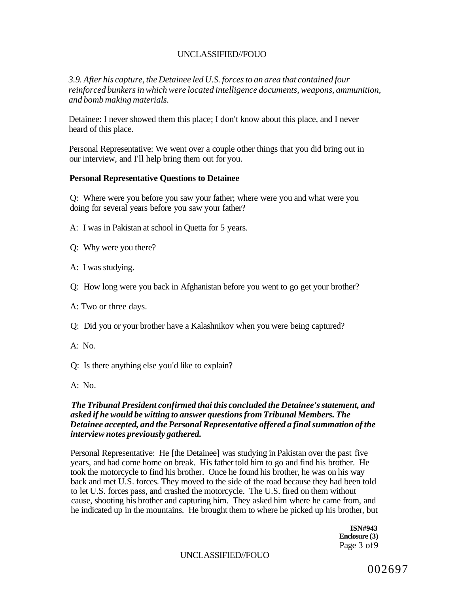*3.9. After his capture, the Detainee led U.S. forces to an area that contained four reinforced bunkers in which were located intelligence documents, weapons, ammunition, and bomb making materials.* 

Detainee: I never showed them this place; I don't know about this place, and I never heard of this place.

Personal Representative: We went over a couple other things that you did bring out in our interview, and I'll help bring them out for you.

#### **Personal Representative Questions to Detainee**

Q: Where were you before you saw your father; where were you and what were you doing for several years before you saw your father?

A: I was in Pakistan at school in Quetta for 5 years.

Q: Why were you there?

A: I was studying.

Q: How long were you back in Afghanistan before you went to go get your brother?

A: Two or three days.

Q: Did you or your brother have a Kalashnikov when you were being captured?

 $A: No.$ 

Q: Is there anything else you'd like to explain?

A: No.

#### *The Tribunal President confirmed thai this concluded the Detainee's statement, and asked if he would be witting to answer questions from Tribunal Members. The Detainee accepted, and the Personal Representative offered a final summation of the interview notes previously gathered.*

Personal Representative: He [the Detainee] was studying in Pakistan over the past five years, and had come home on break. His father told him to go and find his brother. He took the motorcycle to find his brother. Once he found his brother, he was on his way back and met U.S. forces. They moved to the side of the road because they had been told to let U.S. forces pass, and crashed the motorcycle. The U.S. fired on them without cause, shooting his brother and capturing him. They asked him where he came from, and he indicated up in the mountains. He brought them to where he picked up his brother, but

> **ISN#943 Enclosure (3)**  Page 3 of9

UNCLASSIFIED//FOUO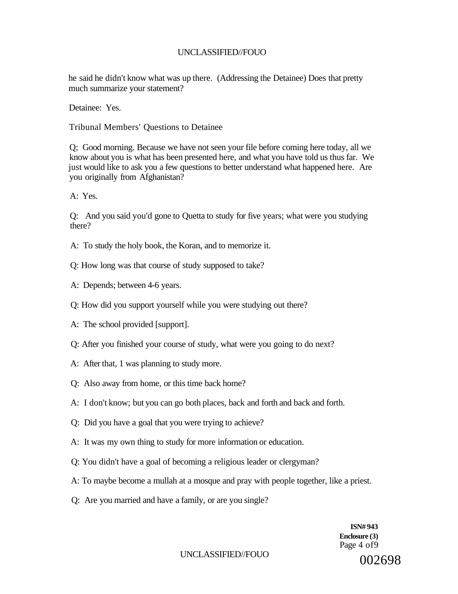he said he didn't know what was up there. (Addressing the Detainee) Does that pretty much summarize your statement?

Detainee: Yes.

Tribunal Members' Questions to Detainee

Q; Good morning. Because we have not seen your file before coming here today, all we know about you is what has been presented here, and what you have told us thus far. We just would like to ask you a few questions to better understand what happened here. Are you originally from Afghanistan?

A: Yes.

Q: And you said you'd gone to Quetta to study for five years; what were you studying there?

- A: To study the holy book, the Koran, and to memorize it.
- Q: How long was that course of study supposed to take?
- A: Depends; between 4-6 years.
- Q: How did you support yourself while you were studying out there?
- A: The school provided [support].
- Q: After you finished your course of study, what were you going to do next?
- A: After that, 1 was planning to study more.
- Q: Also away from home, or this time back home?
- A: I don't know; but you can go both places, back and forth and back and forth.
- Q: Did you have a goal that you were trying to achieve?
- A: It was my own thing to study for more information or education.
- Q: You didn't have a goal of becoming a religious leader or clergyman?
- A: To maybe become a mullah at a mosque and pray with people together, like a priest.
- Q: Are you married and have a family, or are you single?

**ISN# 943 Enclosure (3)**  Page 4 of 9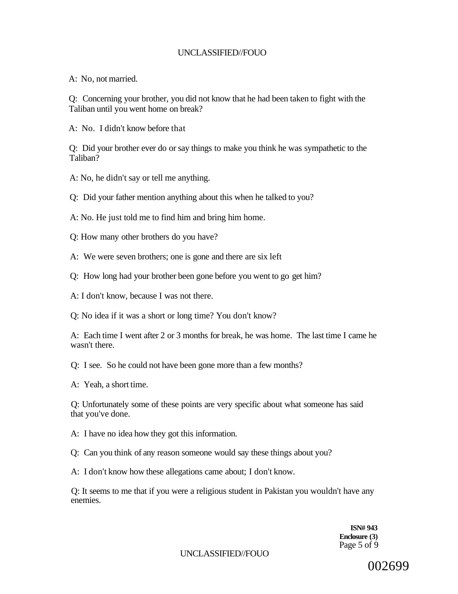A: No, not married.

Q: Concerning your brother, you did not know that he had been taken to fight with the Taliban until you went home on break?

A: No. I didn't know before that

Q: Did your brother ever do or say things to make you think he was sympathetic to the Taliban?

A: No, he didn't say or tell me anything.

Q: Did your father mention anything about this when he talked to you?

A: No. He just told me to find him and bring him home.

Q: How many other brothers do you have?

A: We were seven brothers; one is gone and there are six left

Q: How long had your brother been gone before you went to go get him?

A: I don't know, because I was not there.

Q: No idea if it was a short or long time? You don't know?

A: Each time I went after 2 or 3 months for break, he was home. The last time I came he wasn't there.

Q: I see. So he could not have been gone more than a few months?

A: Yeah, a short time.

Q: Unfortunately some of these points are very specific about what someone has said that you've done.

A: I have no idea how they got this information.

Q: Can you think of any reason someone would say these things about you?

A: I don't know how these allegations came about; I don't know.

Q: It seems to me that if you were a religious student in Pakistan you wouldn't have any enemies.

> **ISN# 943 Enclosure (3)**  Page 5 of 9

UNCLASSIFIED//FOUO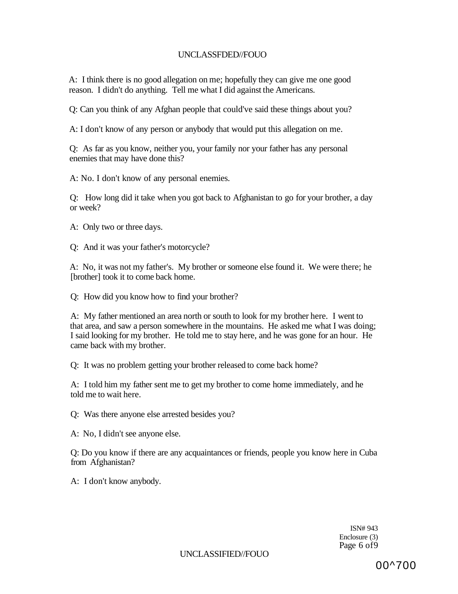A: I think there is no good allegation on me; hopefully they can give me one good reason. I didn't do anything. Tell me what I did against the Americans.

Q: Can you think of any Afghan people that could've said these things about you?

A: I don't know of any person or anybody that would put this allegation on me.

Q: As far as you know, neither you, your family nor your father has any personal enemies that may have done this?

A: No. I don't know of any personal enemies.

Q: How long did it take when you got back to Afghanistan to go for your brother, a day or week?

A: Only two or three days.

Q: And it was your father's motorcycle?

A: No, it was not my father's. My brother or someone else found it. We were there; he [brother] took it to come back home.

Q: How did you know how to find your brother?

A: My father mentioned an area north or south to look for my brother here. I went to that area, and saw a person somewhere in the mountains. He asked me what I was doing; I said looking for my brother. He told me to stay here, and he was gone for an hour. He came back with my brother.

Q: It was no problem getting your brother released to come back home?

A: I told him my father sent me to get my brother to come home immediately, and he told me to wait here.

Q: Was there anyone else arrested besides you?

A: No, I didn't see anyone else.

Q: Do you know if there are any acquaintances or friends, people you know here in Cuba from Afghanistan?

A: I don't know anybody.

ISN# 943 Enclosure (3) Page 6 of9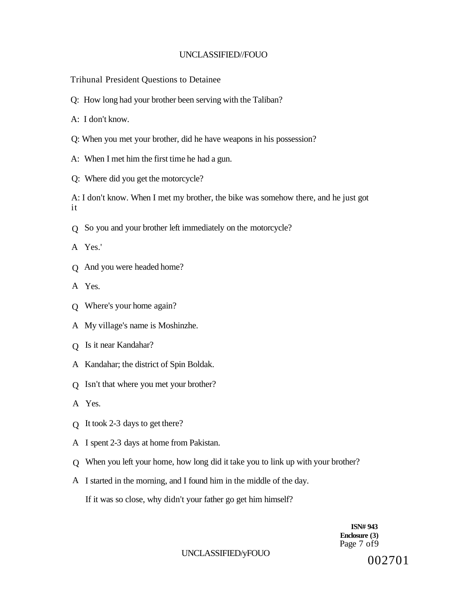Trihunal President Questions to Detainee

Q: How long had your brother been serving with the Taliban?

A: I don't know.

- Q: When you met your brother, did he have weapons in his possession?
- A: When I met him the first time he had a gun.
- Q: Where did you get the motorcycle?

A: I don't know. When I met my brother, the bike was somehow there, and he just got it

- Q So you and your brother left immediately on the motorcycle?
- A Yes.'
- Q And you were headed home?
- A Yes.
- Q Where's your home again?
- A My village's name is Moshinzhe.
- Q Is it near Kandahar?
- A Kandahar; the district of Spin Boldak.
- Q Isn't that where you met your brother?
- A Yes.
- Q It took 2-3 days to get there?
- A I spent 2-3 days at home from Pakistan.
- Q When you left your home, how long did it take you to link up with your brother?
- A I started in the morning, and I found him in the middle of the day.

If it was so close, why didn't your father go get him himself?

**ISN# 943 Enclosure (3)**  Page 7 of 9

#### UNCLASSIFIED/yFOUO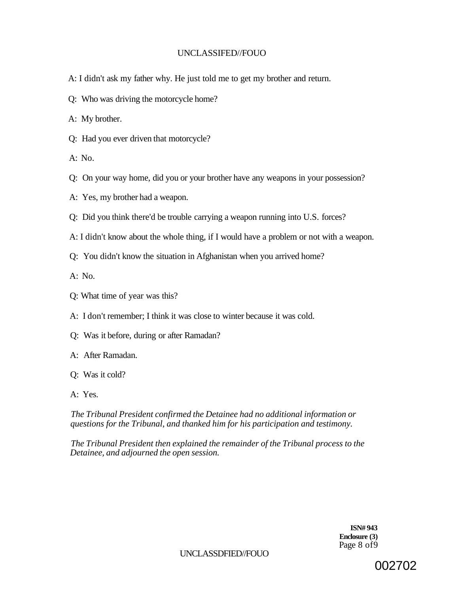- A: I didn't ask my father why. He just told me to get my brother and return.
- Q: Who was driving the motorcycle home?

A: My brother.

Q: Had you ever driven that motorcycle?

A: No.

- Q: On your way home, did you or your brother have any weapons in your possession?
- A: Yes, my brother had a weapon.
- Q: Did you think there'd be trouble carrying a weapon running into U.S. forces?
- A: I didn't know about the whole thing, if I would have a problem or not with a weapon.
- Q: You didn't know the situation in Afghanistan when you arrived home?

A: No.

- Q: What time of year was this?
- A: I don't remember; I think it was close to winter because it was cold.
- Q: Was it before, during or after Ramadan?
- A: After Ramadan.
- Q: Was it cold?
- A: Yes.

*The Tribunal President confirmed the Detainee had no additional information or questions for the Tribunal, and thanked him for his participation and testimony.* 

*The Tribunal President then explained the remainder of the Tribunal process to the Detainee, and adjourned the open session.* 

> **ISN# 943 Enclosure (3)**  Page 8 of9

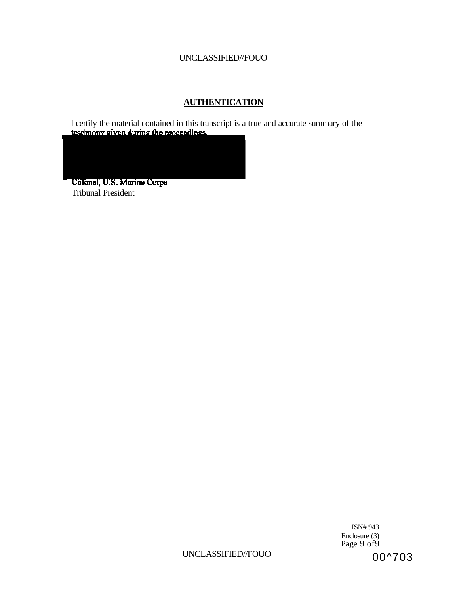# **AUTHENTICATION**

I certify the material contained in this transcript is a true and accurate summary of the testimony given during the proceedings.

Colonel, U.S. Marine Corps Tribunal President

> ISN# 943 Enclosure (3) Page 9 of9 00^703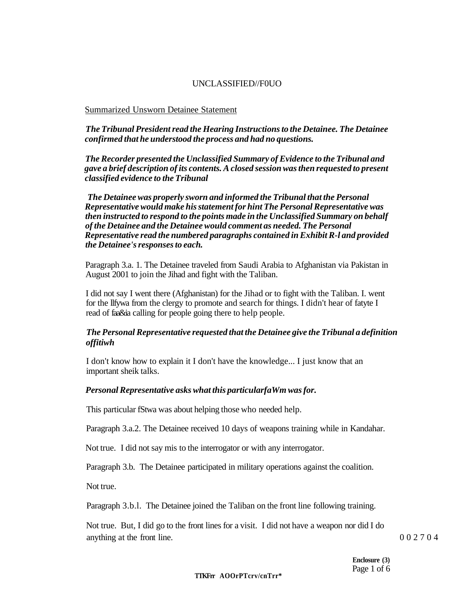#### Summarized Unsworn Detainee Statement

#### *The Tribunal President read the Hearing Instructions to the Detainee. The Detainee confirmed that he understood the process and had no questions.*

*The Recorder presented the Unclassified Summary of Evidence to the Tribunal and gave a brief description of its contents. A closed session was then requested to present classified evidence to the Tribunal* 

*The Detainee was properly sworn and informed the Tribunal that the Personal Representative would make his statement for hint The Personal Representative was then instructed to respond to the points made in the Unclassified Summary on behalf of the Detainee and the Detainee would comment as needed. The Personal Representative read the numbered paragraphs contained in Exhibit R-l and provided the Detainee's responses to each.* 

Paragraph 3.a. 1. The Detainee traveled from Saudi Arabia to Afghanistan via Pakistan in August 2001 to join the Jihad and fight with the Taliban.

I did not say I went there (Afghanistan) for the Jihad or to fight with the Taliban. I. went for the llfywa from the clergy to promote and search for things. I didn't hear of fatyte I read of faa&ia calling for people going there to help people.

#### *The Personal Representative requested that the Detainee give the Tribunal a definition offitiwh*

I don't know how to explain it I don't have the knowledge... I just know that an important sheik talks.

#### *Personal Representative asks what this particularfaWm was for.*

This particular fStwa was about helping those who needed help.

Paragraph 3.a.2. The Detainee received 10 days of weapons training while in Kandahar.

Not true. I did not say mis to the interrogator or with any interrogator.

Paragraph 3.b. The Detainee participated in military operations against the coalition.

Not true.

Paragraph 3.b.l. The Detainee joined the Taliban on the front line following training.

Not true. But, I did go to the front lines for a visit. I did not have a weapon nor did I do anything at the front line. 002704

#### **TTKFrr AOOrPTcrv/cnTrr\***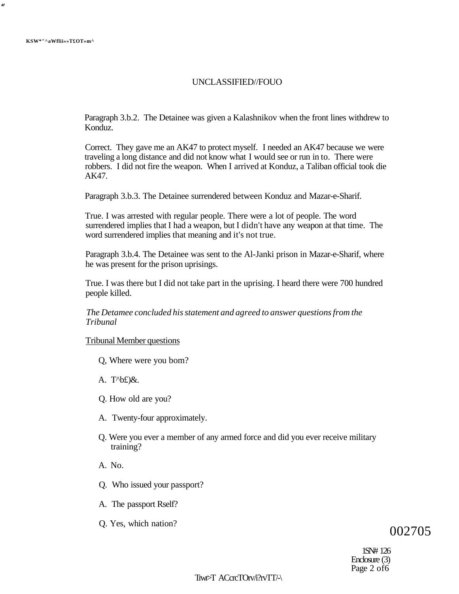**4f** 

#### UNCLASSIFIED//FOUO

Paragraph 3.b.2. The Detainee was given a Kalashnikov when the front lines withdrew to Konduz.

Correct. They gave me an AK47 to protect myself. I needed an AK47 because we were traveling a long distance and did not know what I would see or run in to. There were robbers. I did not fire the weapon. When I arrived at Konduz, a Taliban official took die AK47.

Paragraph 3.b.3. The Detainee surrendered between Konduz and Mazar-e-Sharif.

True. I was arrested with regular people. There were a lot of people. The word surrendered implies that I had a weapon, but I didn't have any weapon at that time. The word surrendered implies that meaning and it's not true.

Paragraph 3.b.4. The Detainee was sent to the Al-Janki prison in Mazar-e-Sharif, where he was present for the prison uprisings.

True. I was there but I did not take part in the uprising. I heard there were 700 hundred people killed.

*The Detamee concluded his statement and agreed to answer questions from the Tribunal* 

#### Tribunal Member questions

- Q, Where were you bom?
- A. T $\Delta$ b£)&.
- Q. How old are you?
- A. Twenty-four approximately.
- Q. Were you ever a member of any armed force and did you ever receive military training?
- A. No.
- Q. Who issued your passport?
- A. The passport Rself?
- Q. Yes, which nation?

# 002705

1SN# 126 Enclosure (3) Page 2 of6

Trwr>T ACcrcTOrv/i?rvTT/-\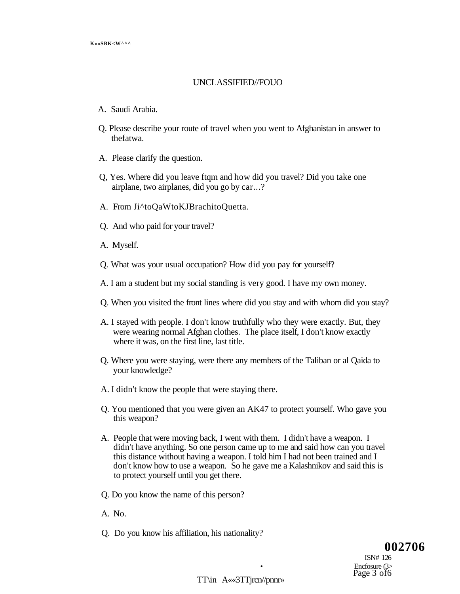- A. Saudi Arabia.
- Q. Please describe your route of travel when you went to Afghanistan in answer to thefatwa.
- A. Please clarify the question.
- Q, Yes. Where did you leave ftqm and how did you travel? Did you take one airplane, two airplanes, did you go by car...?
- A. From Ji^toQaWtoKJBrachitoQuetta.
- Q. And who paid for your travel?
- A. Myself.
- Q. What was your usual occupation? How did you pay for yourself?
- A. I am a student but my social standing is very good. I have my own money.
- Q. When you visited the front lines where did you stay and with whom did you stay?
- A. I stayed with people. I don't know truthfully who they were exactly. But, they were wearing normal Afghan clothes. The place itself, I don't know exactly where it was, on the first line, last title.
- Q. Where you were staying, were there any members of the Taliban or al Qaida to your knowledge?
- A. I didn't know the people that were staying there.
- Q. You mentioned that you were given an AK47 to protect yourself. Who gave you this weapon?
- A. People that were moving back, I went with them. I didn't have a weapon. I didn't have anything. So one person came up to me and said how can you travel this distance without having a weapon. I told him I had not been trained and I don't know how to use a weapon. So he gave me a Kalashnikov and said this is to protect yourself until you get there.
- Q. Do you know the name of this person?
- A. No.
- Q. Do you know his affiliation, his nationality?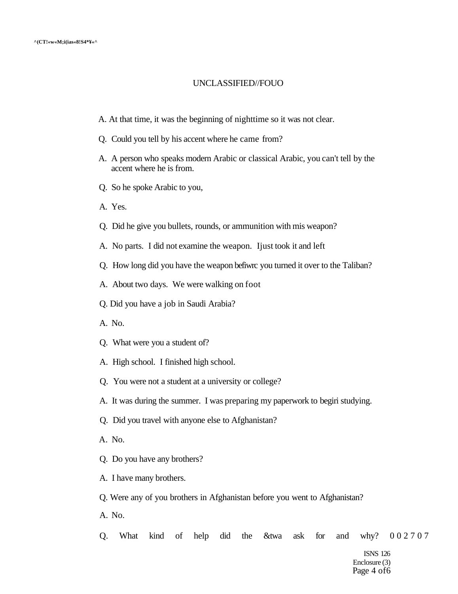- A. At that time, it was the beginning of nighttime so it was not clear.
- Q. Could you tell by his accent where he came from?
- A. A person who speaks modern Arabic or classical Arabic, you can't tell by the accent where he is from.
- Q. So he spoke Arabic to you,
- A. Yes.
- Q. Did he give you bullets, rounds, or ammunition with mis weapon?
- A. No parts. I did not examine the weapon. Ijust took it and left
- Q. How long did you have the weapon befiwrc you turned it over to the Taliban?
- A. About two days. We were walking on foot
- Q. Did you have a job in Saudi Arabia?
- A. No.
- Q. What were you a student of?
- A. High school. I finished high school.
- Q. You were not a student at a university or college?
- A. It was during the summer. I was preparing my paperwork to begiri studying.
- Q. Did you travel with anyone else to Afghanistan?
- A. No.
- Q. Do you have any brothers?
- A. I have many brothers.

Q. Were any of you brothers in Afghanistan before you went to Afghanistan?

A. No.

Q. What kind of help did the &twa ask for and why? 002707

ISNS 126 Enclosure (3) Page 4 of6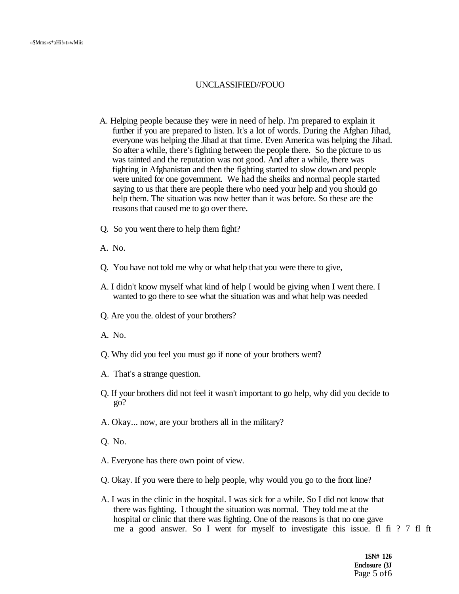- A. Helping people because they were in need of help. I'm prepared to explain it further if you are prepared to listen. It's a lot of words. During the Afghan Jihad, everyone was helping the Jihad at that time. Even America was helping the Jihad. So after a while, there's fighting between the people there. So the picture to us was tainted and the reputation was not good. And after a while, there was fighting in Afghanistan and then the fighting started to slow down and people were united for one government. We had the sheiks and normal people started saying to us that there are people there who need your help and you should go help them. The situation was now better than it was before. So these are the reasons that caused me to go over there.
- Q. So you went there to help them fight?
- A. No.
- Q. You have not told me why or what help that you were there to give,
- A. I didn't know myself what kind of help I would be giving when I went there. I wanted to go there to see what the situation was and what help was needed
- Q. Are you the. oldest of your brothers?
- A. No.
- Q. Why did you feel you must go if none of your brothers went?
- A. That's a strange question.
- Q. If your brothers did not feel it wasn't important to go help, why did you decide to go?
- A. Okay... now, are your brothers all in the military?
- Q. No.
- A. Everyone has there own point of view.
- Q. Okay. If you were there to help people, why would you go to the front line?
- A. I was in the clinic in the hospital. I was sick for a while. So I did not know that there was fighting. I thought the situation was normal. They told me at the hospital or clinic that there was fighting. One of the reasons is that no one gave me a good answer. So I went for myself to investigate this issue. fl fi ? 7 fl ft

**1SN# 126 Enclosure (3J**  Page 5 of6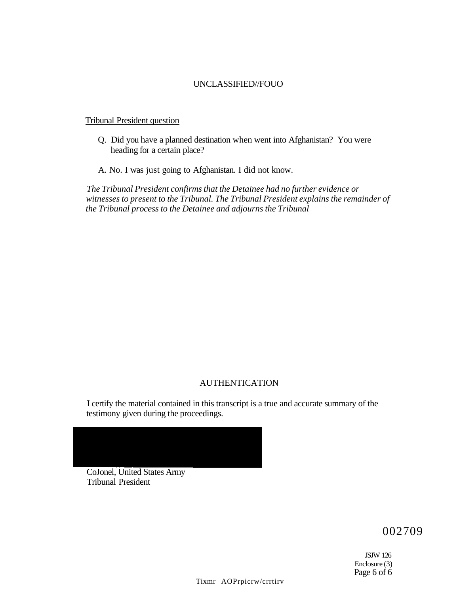#### Tribunal President question

- Q. Did you have a planned destination when went into Afghanistan? You were heading for a certain place?
- A. No. I was just going to Afghanistan. I did not know.

*The Tribunal President confirms that the Detainee had no further evidence or witnesses to present to the Tribunal. The Tribunal President explains the remainder of the Tribunal process to the Detainee and adjourns the Tribunal* 

#### AUTHENTICATION

I certify the material contained in this transcript is a true and accurate summary of the testimony given during the proceedings.

CoJonel, United States Army Tribunal President

002709

JSJW 126 Enclosure (3) Page 6 of 6

Tixmr AOPrpicrw/crrtirv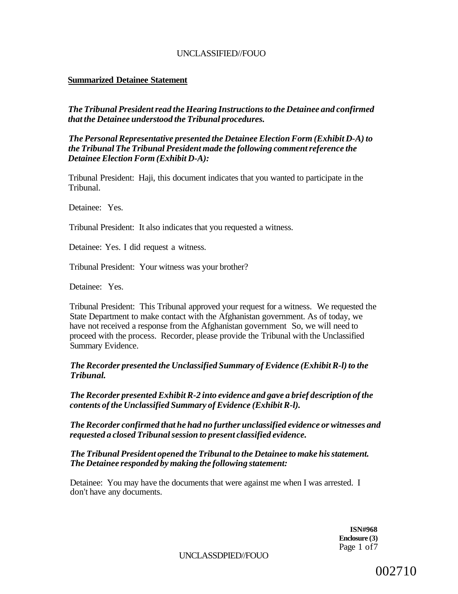#### **Summarized Detainee Statement**

*The Tribunal President read the Hearing Instructions to the Detainee and confirmed that the Detainee understood the Tribunal procedures.* 

*The Personal Representative presented the Detainee Election Form (Exhibit D-A) to the Tribunal The Tribunal President made the following comment reference the Detainee Election Form (Exhibit D-A):* 

Tribunal President: Haji, this document indicates that you wanted to participate in the Tribunal.

Detainee: Yes.

Tribunal President: It also indicates that you requested a witness.

Detainee: Yes. I did request a witness.

Tribunal President: Your witness was your brother?

Detainee: Yes.

Tribunal President: This Tribunal approved your request for a witness. We requested the State Department to make contact with the Afghanistan government. As of today, we have not received a response from the Afghanistan government So, we will need to proceed with the process. Recorder, please provide the Tribunal with the Unclassified Summary Evidence.

#### *The Recorder presented the Unclassified Summary of Evidence (Exhibit R-l) to the Tribunal.*

*The Recorder presented Exhibit R-2 into evidence and gave a brief description of the contents of the Unclassified Summary of Evidence (Exhibit R-l).* 

*The Recorder confirmed that he had no further unclassified evidence or witnesses and requested a closed Tribunal session to present classified evidence.* 

*The Tribunal President opened the Tribunal to the Detainee to make his statement. The Detainee responded by making the following statement:* 

Detainee: You may have the documents that were against me when I was arrested. I don't have any documents.

> **ISN#968 Enclosure (3)**  Page 1 of7

UNCLASSDPIED//FOUO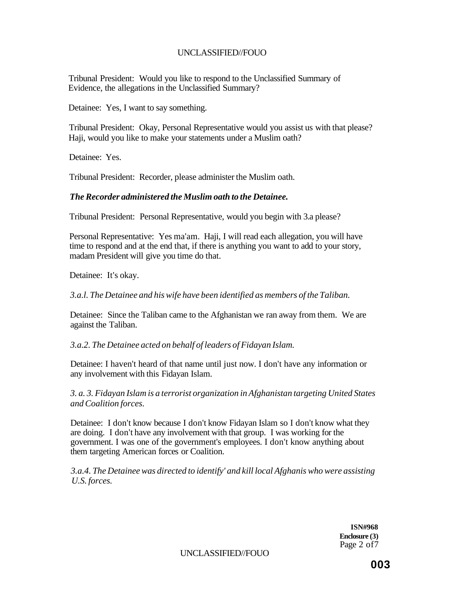Tribunal President: Would you like to respond to the Unclassified Summary of Evidence, the allegations in the Unclassified Summary?

Detainee: Yes, I want to say something.

Tribunal President: Okay, Personal Representative would you assist us with that please? Haji, would you like to make your statements under a Muslim oath?

Detainee: Yes.

Tribunal President: Recorder, please administer the Muslim oath.

#### *The Recorder administered the Muslim oath to the Detainee.*

Tribunal President: Personal Representative, would you begin with 3.a please?

Personal Representative: Yes ma'am. Haji, I will read each allegation, you will have time to respond and at the end that, if there is anything you want to add to your story, madam President will give you time do that.

Detainee: It's okay.

*3.a.l. The Detainee and his wife have been identified as members of the Taliban.* 

Detainee: Since the Taliban came to the Afghanistan we ran away from them. We are against the Taliban.

*3.a.2. The Detainee acted on behalf of leaders of Fidayan Islam.* 

Detainee: I haven't heard of that name until just now. I don't have any information or any involvement with this Fidayan Islam.

*3. a. 3. Fidayan Islam is a terrorist organization in Afghanistan targeting United States and Coalition forces.* 

Detainee: I don't know because I don't know Fidayan Islam so I don't know what they are doing. I don't have any involvement with that group. I was working for the government. I was one of the government's employees. I don't know anything about them targeting American forces or Coalition.

*3.a.4. The Detainee was directed to identify' and kill local Afghanis who were assisting U.S. forces.* 

> **ISN#968 Enclosure (3)**  Page 2 of7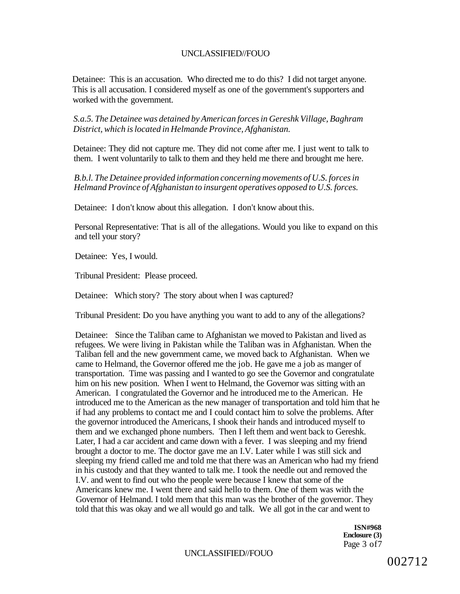Detainee: This is an accusation. Who directed me to do this? I did not target anyone. This is all accusation. I considered myself as one of the government's supporters and worked with the government.

*S.a.5. The Detainee was detained by American forces in Gereshk Village, Baghram District, which is located in Helmande Province, Afghanistan.* 

Detainee: They did not capture me. They did not come after me. I just went to talk to them. I went voluntarily to talk to them and they held me there and brought me here.

*B.b.l. The Detainee provided information concerning movements of U.S. forces in Helmand Province of Afghanistan to insurgent operatives opposed to U.S. forces.* 

Detainee: I don't know about this allegation. I don't know about this.

Personal Representative: That is all of the allegations. Would you like to expand on this and tell your story?

Detainee: Yes, I would.

Tribunal President: Please proceed.

Detainee: Which story? The story about when I was captured?

Tribunal President: Do you have anything you want to add to any of the allegations?

Detainee: Since the Taliban came to Afghanistan we moved to Pakistan and lived as refugees. We were living in Pakistan while the Taliban was in Afghanistan. When the Taliban fell and the new government came, we moved back to Afghanistan. When we came to Helmand, the Governor offered me the job. He gave me a job as manger of transportation. Time was passing and I wanted to go see the Governor and congratulate him on his new position. When I went to Helmand, the Governor was sitting with an American. I congratulated the Governor and he introduced me to the American. He introduced me to the American as the new manager of transportation and told him that he if had any problems to contact me and I could contact him to solve the problems. After the governor introduced the Americans, I shook their hands and introduced myself to them and we exchanged phone numbers. Then I left them and went back to Gereshk. Later, I had a car accident and came down with a fever. I was sleeping and my friend brought a doctor to me. The doctor gave me an I.V. Later while I was still sick and sleeping my friend called me and told me that there was an American who had my friend in his custody and that they wanted to talk me. I took the needle out and removed the I.V. and went to find out who the people were because I knew that some of the Americans knew me. I went there and said hello to them. One of them was with the Governor of Helmand. I told mem that this man was the brother of the governor. They told that this was okay and we all would go and talk. We all got in the car and went to

> **ISN#968 Enclosure (3)**  Page 3 of7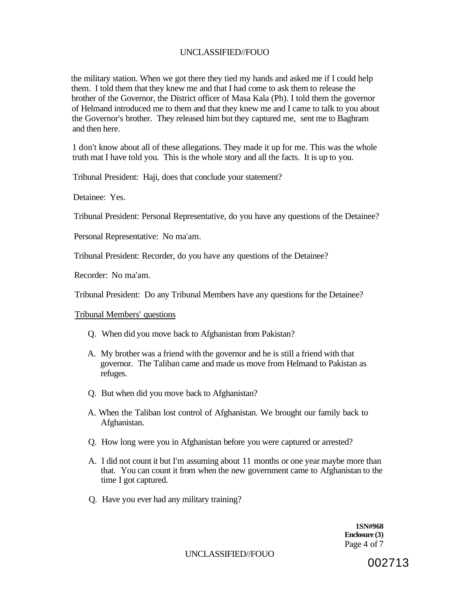the military station. When we got there they tied my hands and asked me if I could help them. I told them that they knew me and that I had come to ask them to release the brother of the Governor, the District officer of Masa Kala (Ph). I told them the governor of Helmand introduced me to them and that they knew me and I came to talk to you about the Governor's brother. They released him but they captured me, sent me to Baghram and then here.

1 don't know about all of these allegations. They made it up for me. This was the whole truth mat I have told you. This is the whole story and all the facts. It is up to you.

Tribunal President: Haji, does that conclude your statement?

Detainee: Yes.

Tribunal President: Personal Representative, do you have any questions of the Detainee?

Personal Representative: No ma'am.

Tribunal President: Recorder, do you have any questions of the Detainee?

Recorder: No ma'am.

Tribunal President: Do any Tribunal Members have any questions for the Detainee?

Tribunal Members' questions

- Q. When did you move back to Afghanistan from Pakistan?
- A. My brother was a friend with the governor and he is still a friend with that governor. The Taliban came and made us move from Helmand to Pakistan as refuges.
- Q. But when did you move back to Afghanistan?
- A. When the Taliban lost control of Afghanistan. We brought our family back to Afghanistan.
- Q. How long were you in Afghanistan before you were captured or arrested?
- A. I did not count it but I'm assuming about 11 months or one year maybe more than that. You can count it from when the new government came to Afghanistan to the time I got captured.
- Q. Have you ever had any military training?

**1SN#968 Enclosure (3)**  Page 4 of 7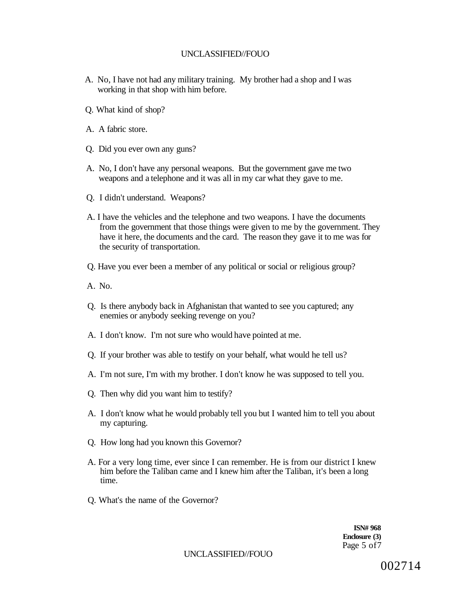- A. No, I have not had any military training. My brother had a shop and I was working in that shop with him before.
- Q. What kind of shop?
- A. A fabric store.
- Q. Did you ever own any guns?
- A. No, I don't have any personal weapons. But the government gave me two weapons and a telephone and it was all in my car what they gave to me.
- Q. I didn't understand. Weapons?
- A. I have the vehicles and the telephone and two weapons. I have the documents from the government that those things were given to me by the government. They have it here, the documents and the card. The reason they gave it to me was for the security of transportation.
- Q. Have you ever been a member of any political or social or religious group?
- A. No.
- Q. Is there anybody back in Afghanistan that wanted to see you captured; any enemies or anybody seeking revenge on you?
- A. I don't know. I'm not sure who would have pointed at me.
- Q. If your brother was able to testify on your behalf, what would he tell us?
- A. I'm not sure, I'm with my brother. I don't know he was supposed to tell you.
- Q. Then why did you want him to testify?
- A. I don't know what he would probably tell you but I wanted him to tell you about my capturing.
- Q. How long had you known this Governor?
- A. For a very long time, ever since I can remember. He is from our district I knew him before the Taliban came and I knew him after the Taliban, it's been a long time.
- Q. What's the name of the Governor?

**ISN# 968 Enclosure (3)**  Page 5 of7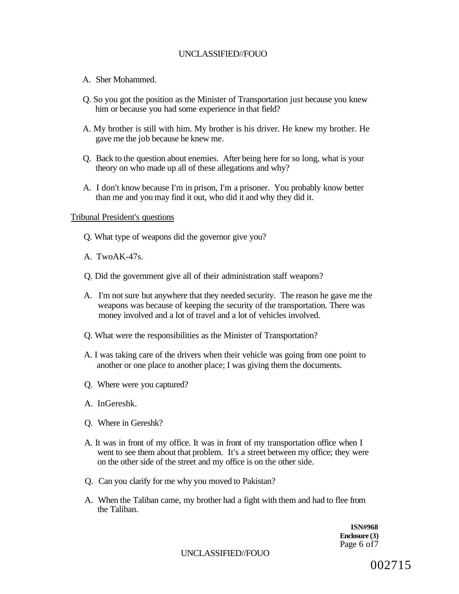- A. Sher Mohammed.
- Q. So you got the position as the Minister of Transportation just because you knew him or because you had some experience in that field?
- A. My brother is still with him. My brother is his driver. He knew my brother. He gave me the job because he knew me.
- Q. Back to the question about enemies. After being here for so long, what is your theory on who made up all of these allegations and why?
- A. I don't know because I'm in prison, I'm a prisoner. You probably know better than me and you may find it out, who did it and why they did it.

#### Tribunal President's questions

- Q. What type of weapons did the governor give you?
- A. TwoAK-47s.
- Q. Did the government give all of their administration staff weapons?
- A. I'm not sure but anywhere that they needed security. The reason he gave me the weapons was because of keeping the security of the transportation. There was money involved and a lot of travel and a lot of vehicles involved.
- Q. What were the responsibilities as the Minister of Transportation?
- A. I was taking care of the drivers when their vehicle was going from one point to another or one place to another place; I was giving them the documents.
- Q. Where were you captured?
- A. InGereshk.
- Q. Where in Gereshk?
- A. It was in front of my office. It was in front of my transportation office when I went to see them about that problem. It's a street between my office; they were on the other side of the street and my office is on the other side.
- Q. Can you clarify for me why you moved to Pakistan?
- A. When the Taliban came, my brother had a fight with them and had to flee from the Taliban.

**ISN#968 Enclosure (3)**  Page 6 of 7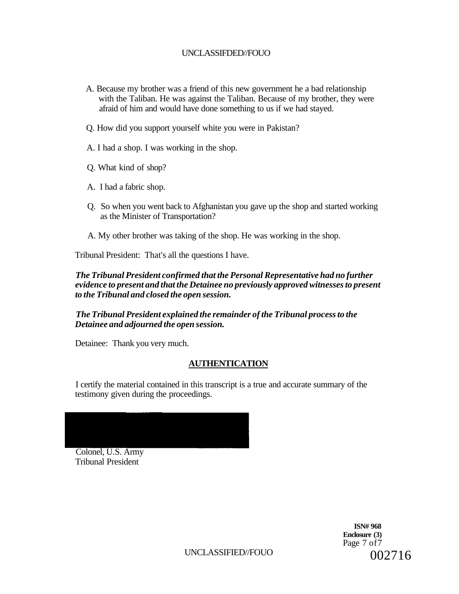- A. Because my brother was a friend of this new government he a bad relationship with the Taliban. He was against the Taliban. Because of my brother, they were afraid of him and would have done something to us if we had stayed.
- Q. How did you support yourself white you were in Pakistan?
- A. I had a shop. I was working in the shop.
- Q. What kind of shop?
- A. I had a fabric shop.
- Q. So when you went back to Afghanistan you gave up the shop and started working as the Minister of Transportation?
- A. My other brother was taking of the shop. He was working in the shop.

Tribunal President: That's all the questions I have.

#### *The Tribunal President confirmed that the Personal Representative had no further evidence to present and that the Detainee no previously approved witnesses to present to the Tribunal and closed the open session.*

#### *The Tribunal President explained the remainder of the Tribunal process to the Detainee and adjourned the open session.*

Detainee: Thank you very much.

# **AUTHENTICATION**

I certify the material contained in this transcript is a true and accurate summary of the testimony given during the proceedings.

Colonel, U.S. Army Tribunal President

> **ISN# 968 Enclosure (3)**  Page 7 of7 002716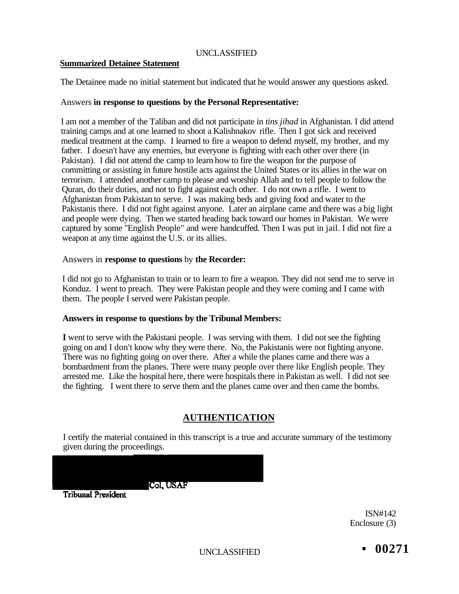## UNCLASSIFIED

#### **Summarized Detainee Statement**

The Detainee made no initial statement but indicated that he would answer any questions asked.

#### Answers **in response to questions by the Personal Representative:**

I am not a member of the Taliban and did not participate in *tins jihad* in Afghanistan. I did attend training camps and at one learned to shoot a Kalishnakov rifle. Then I got sick and received medical treatment at the camp. I learned to fire a weapon to defend myself, my brother, and my father. I doesn't have any enemies, but everyone is fighting with each other over there (in Pakistan). I did not attend the camp to learn how to fire the weapon for the purpose of committing or assisting in future hostile acts against the United States or its allies in the war on terrorism. I attended another camp to please and worship Allah and to tell people to follow the Quran, do their duties, and not to fight against each other. I do not own a rifle. I went to Afghanistan from Pakistan to serve. I was making beds and giving food and water to the Pakistanis there. I did not fight against anyone. Later an airplane came and there was a big light and people were dying. Then we started heading back toward our homes in Pakistan. We were captured by some ''English People" and were handcuffed. Then I was put in jail. I did not fire a weapon at any time against the U.S. or its allies.

#### Answers in **response to questions** by **the Recorder:**

I did not go to Afghanistan to train or to learn to fire a weapon. They did not send me to serve in Konduz. I went to preach. They were Pakistan people and they were coming and I came with them. The people I served were Pakistan people.

#### **Answers in response to questions by the Tribunal Members:**

**I** went to serve with the Pakistani people. I was serving with them. I did not see the fighting going on and I don't know why they were there. No, the Pakistanis were not fighting anyone. There was no fighting going on over there. After a while the planes came and there was a bombardment from the planes. There were many people over there like English people. They arrested me. Like the hospital here, there were hospitals there in Pakistan as well. I did not see the fighting. I went there to serve them and the planes came over and then came the bombs.

# **AUTHENTICATION**

I certify the material contained in this transcript is a true and accurate summary of the testimony given during the proceedings.

Col, USAF

**Tribunal President** 

ISN#142 Enclosure (3)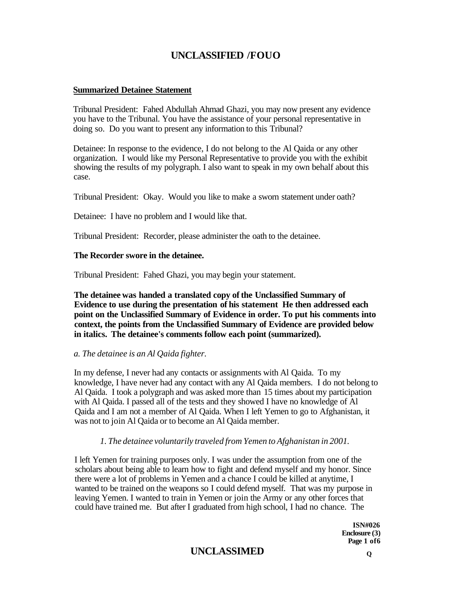#### **Summarized Detainee Statement**

Tribunal President: Fahed Abdullah Ahmad Ghazi, you may now present any evidence you have to the Tribunal. You have the assistance of your personal representative in doing so. Do you want to present any information to this Tribunal?

Detainee: In response to the evidence, I do not belong to the Al Qaida or any other organization. I would like my Personal Representative to provide you with the exhibit showing the results of my polygraph. I also want to speak in my own behalf about this case.

Tribunal President: Okay. Would you like to make a sworn statement under oath?

Detainee: I have no problem and I would like that.

Tribunal President: Recorder, please administer the oath to the detainee.

#### **The Recorder swore in the detainee.**

Tribunal President: Fahed Ghazi, you may begin your statement.

**The detainee was handed a translated copy of the Unclassified Summary of Evidence to use during the presentation of his statement He then addressed each point on the Unclassified Summary of Evidence in order. To put his comments into context, the points from the Unclassified Summary of Evidence are provided below in italics. The detainee's comments follow each point (summarized).** 

#### *a. The detainee is an Al Qaida fighter.*

In my defense, I never had any contacts or assignments with Al Qaida. To my knowledge, I have never had any contact with any Al Qaida members. I do not belong to Al Qaida. I took a polygraph and was asked more than 15 times about my participation with Al Qaida. I passed all of the tests and they showed I have no knowledge of Al Qaida and I am not a member of Al Qaida. When I left Yemen to go to Afghanistan, it was not to join Al Qaida or to become an Al Qaida member.

## *1. The detainee voluntarily traveled from Yemen to Afghanistan in 2001.*

I left Yemen for training purposes only. I was under the assumption from one of the scholars about being able to learn how to fight and defend myself and my honor. Since there were a lot of problems in Yemen and a chance I could be killed at anytime, I wanted to be trained on the weapons so I could defend myself. That was my purpose in leaving Yemen. I wanted to train in Yemen or join the Army or any other forces that could have trained me. But after I graduated from high school, I had no chance. The

> **ISN#026 Enclosure (3) Page 1 of6**

# **UNCLASSIMED <sup>Q</sup>**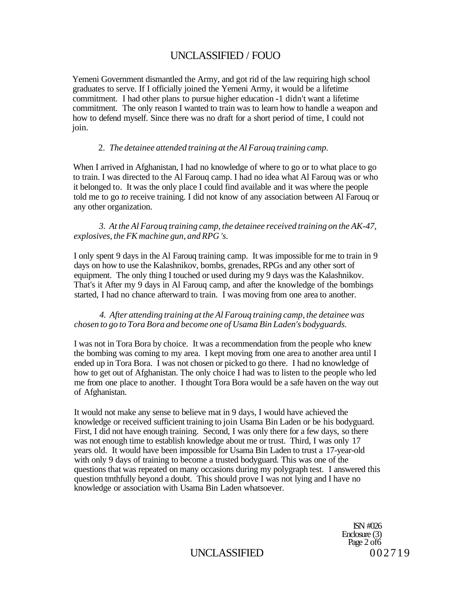Yemeni Government dismantled the Army, and got rid of the law requiring high school graduates to serve. If I officially joined the Yemeni Army, it would be a lifetime commitment. I had other plans to pursue higher education -1 didn't want a lifetime commitment. The only reason I wanted to train was to learn how to handle a weapon and how to defend myself. Since there was no draft for a short period of time, I could not join.

#### 2. *The detainee attended training at the Al Farouq training camp.*

When I arrived in Afghanistan, I had no knowledge of where to go or to what place to go to train. I was directed to the Al Farouq camp. I had no idea what Al Farouq was or who it belonged to. It was the only place I could find available and it was where the people told me to go *to* receive training. I did not know of any association between Al Farouq or any other organization.

*3. At the Al Farouq training camp, the detainee received training on the AK-47, explosives, the FK machine gun, and RPG 's.* 

I only spent 9 days in the Al Farouq training camp. It was impossible for me to train in 9 days on how to use the Kalashnikov, bombs, grenades, RPGs and any other sort of equipment. The only thing I touched or used during my 9 days was the Kalashnikov. That's it After my 9 days in Al Farouq camp, and after the knowledge of the bombings started, I had no chance afterward to train. I was moving from one area to another.

#### *4. After attending training at the Al Farouq training camp, the detainee was chosen to go to Tora Bora and become one of Usama Bin Laden's bodyguards.*

I was not in Tora Bora by choice. It was a recommendation from the people who knew the bombing was coming to my area. I kept moving from one area to another area until I ended up in Tora Bora. I was not chosen or picked to go there. I had no knowledge of how to get out of Afghanistan. The only choice I had was to listen to the people who led me from one place to another. I thought Tora Bora would be a safe haven on the way out of Afghanistan.

It would not make any sense to believe mat in 9 days, I would have achieved the knowledge or received sufficient training to join Usama Bin Laden or be his bodyguard. First, I did not have enough training. Second, I was only there for a few days, so there was not enough time to establish knowledge about me or trust. Third, I was only 17 years old. It would have been impossible for Usama Bin Laden to trust a 17-year-old with only 9 days of training to become a trusted bodyguard. This was one of the questions that was repeated on many occasions during my polygraph test. I answered this question tmthfully beyond a doubt. This should prove I was not lying and I have no knowledge or association with Usama Bin Laden whatsoever.

> ISN #026 Enclosure (3) Page 2 of 6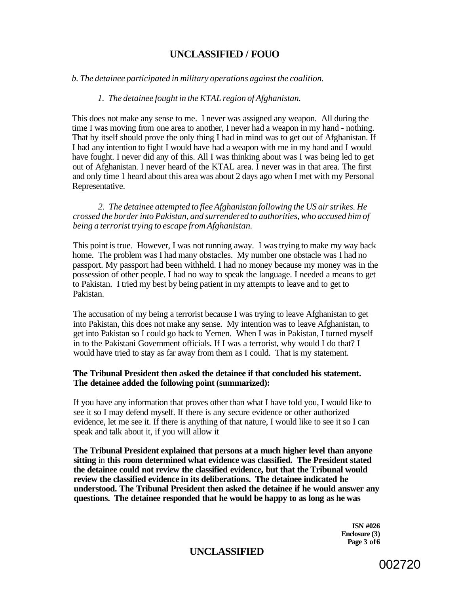#### *b. The detainee participated in military operations against the coalition.*

#### *1. The detainee fought in the KTAL region of Afghanistan.*

This does not make any sense to me. I never was assigned any weapon. All during the time I was moving from one area to another, I never had a weapon in my hand - nothing. That by itself should prove the only thing I had in mind was to get out of Afghanistan. If I had any intention to fight I would have had a weapon with me in my hand and I would have fought. I never did any of this. All I was thinking about was I was being led to get out of Afghanistan. I never heard of the KTAL area. I never was in that area. The first and only time 1 heard about this area was about 2 days ago when I met with my Personal Representative.

*2. The detainee attempted to flee Afghanistan following the US air strikes. He crossed the border into Pakistan, and surrendered to authorities, who accused him of being a terrorist trying to escape from Afghanistan.* 

This point is true. However, I was not running away. I was trying to make my way back home. The problem was I had many obstacles. My number one obstacle was I had no passport. My passport had been withheld. I had no money because my money was in the possession of other people. I had no way to speak the language. I needed a means to get to Pakistan. I tried my best by being patient in my attempts to leave and to get to Pakistan.

The accusation of my being a terrorist because I was trying to leave Afghanistan to get into Pakistan, this does not make any sense. My intention was to leave Afghanistan, to get into Pakistan so I could go back to Yemen. When I was in Pakistan, I turned myself in to the Pakistani Government officials. If I was a terrorist, why would I do that? I would have tried to stay as far away from them as I could. That is my statement.

#### **The Tribunal President then asked the detainee if that concluded his statement. The detainee added the following point (summarized):**

If you have any information that proves other than what I have told you, I would like to see it so I may defend myself. If there is any secure evidence or other authorized evidence, let me see it. If there is anything of that nature, I would like to see it so I can speak and talk about it, if you will allow it

**The Tribunal President explained that persons at a much higher level than anyone sitting** in **this room determined what evidence was classified. The President stated the detainee could not review the classified evidence, but that the Tribunal would review the classified evidence in its deliberations. The detainee indicated he understood. The Tribunal President then asked the detainee if he would answer any questions. The detainee responded that he would be happy to as long as he was** 

> **ISN #026 Enclosure (3) Page 3 of6**

# **UNCLASSIFIED**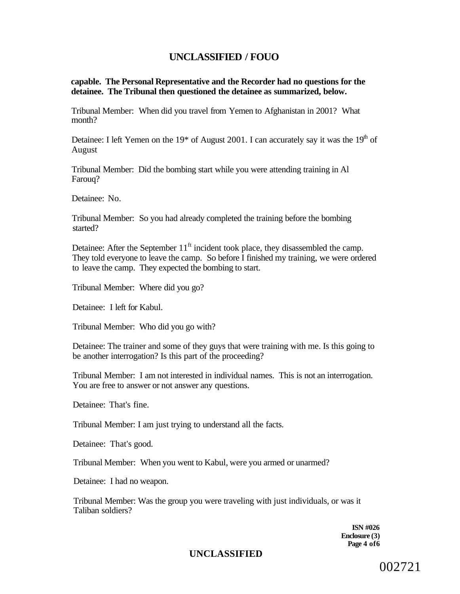**capable. The Personal Representative and the Recorder had no questions for the detainee. The Tribunal then questioned the detainee as summarized, below.** 

Tribunal Member: When did you travel from Yemen to Afghanistan in 2001? What month?

Detainee: I left Yemen on the  $19*$  of August 2001. I can accurately say it was the  $19<sup>th</sup>$  of August

Tribunal Member: Did the bombing start while you were attending training in Al Farouq?

Detainee: No.

Tribunal Member: So you had already completed the training before the bombing started?

Detainee: After the September  $11<sup>ft</sup>$  incident took place, they disassembled the camp. They told everyone to leave the camp. So before I finished my training, we were ordered to leave the camp. They expected the bombing to start.

Tribunal Member: Where did you go?

Detainee: I left for Kabul.

Tribunal Member: Who did you go with?

Detainee: The trainer and some of they guys that were training with me. Is this going to be another interrogation? Is this part of the proceeding?

Tribunal Member: I am not interested in individual names. This is not an interrogation. You are free to answer or not answer any questions.

Detainee: That's fine.

Tribunal Member: I am just trying to understand all the facts.

Detainee: That's good.

Tribunal Member: When you went to Kabul, were you armed or unarmed?

Detainee: I had no weapon.

Tribunal Member: Was the group you were traveling with just individuals, or was it Taliban soldiers?

> **ISN #026 Enclosure (3) Page 4 of6**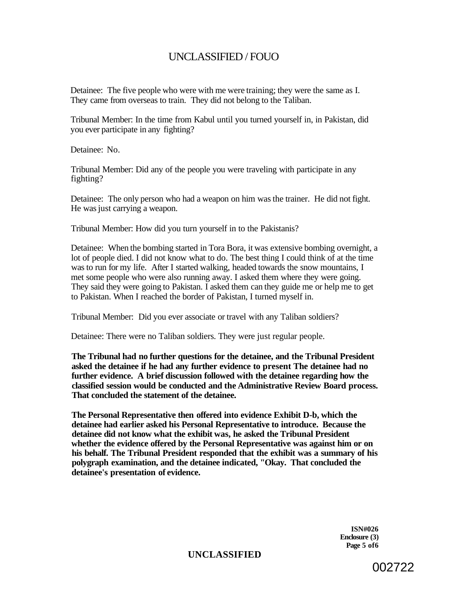Detainee: The five people who were with me were training; they were the same as I. They came from overseas to train. They did not belong to the Taliban.

Tribunal Member: In the time from Kabul until you turned yourself in, in Pakistan, did you ever participate in any fighting?

Detainee: No.

Tribunal Member: Did any of the people you were traveling with participate in any fighting?

Detainee: The only person who had a weapon on him was the trainer. He did not fight. He was just carrying a weapon.

Tribunal Member: How did you turn yourself in to the Pakistanis?

Detainee: When the bombing started in Tora Bora, it was extensive bombing overnight, a lot of people died. I did not know what to do. The best thing I could think of at the time was to run for my life. After I started walking, headed towards the snow mountains, I met some people who were also running away. I asked them where they were going. They said they were going to Pakistan. I asked them can they guide me or help me to get to Pakistan. When I reached the border of Pakistan, I turned myself in.

Tribunal Member: Did you ever associate or travel with any Taliban soldiers?

Detainee: There were no Taliban soldiers. They were just regular people.

**The Tribunal had no further questions for the detainee, and the Tribunal President asked the detainee if he had any further evidence to present The detainee had no further evidence. A brief discussion followed with the detainee regarding how the classified session would be conducted and the Administrative Review Board process. That concluded the statement of the detainee.** 

**The Personal Representative then offered into evidence Exhibit D-b, which the detainee had earlier asked his Personal Representative to introduce. Because the detainee did not know what the exhibit was, he asked the Tribunal President whether the evidence offered by the Personal Representative was against him or on his behalf. The Tribunal President responded that the exhibit was a summary of his polygraph examination, and the detainee indicated, "Okay. That concluded the detainee's presentation of evidence.** 

> **ISN#026 Enclosure (3) Page 5 of6**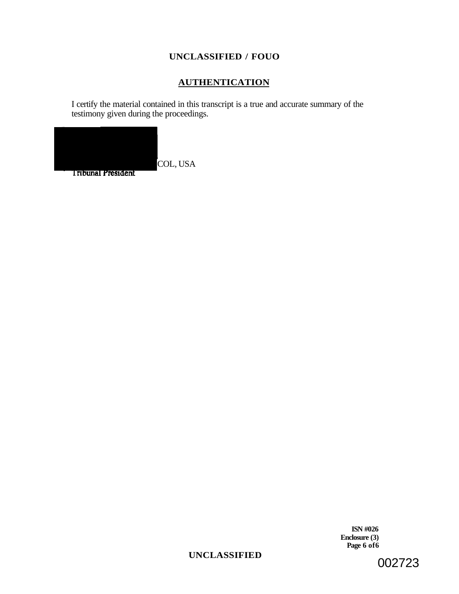# **AUTHENTICATION**

I certify the material contained in this transcript is a true and accurate summary of the testimony given during the proceedings.



**Tribunal President** 

**ISN #026 Enclosure (3) Page 6 of6** 

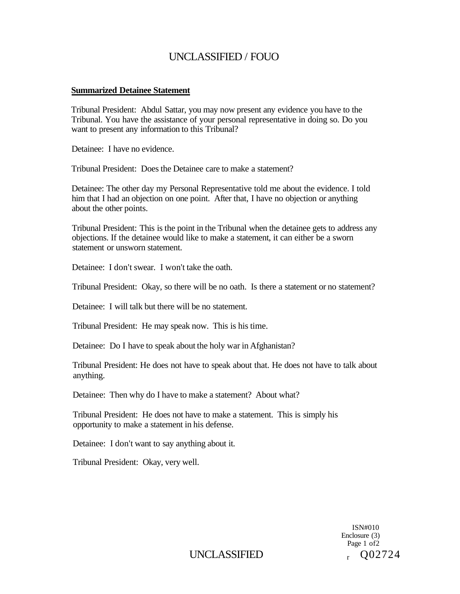#### **Summarized Detainee Statement**

Tribunal President: Abdul Sattar, you may now present any evidence you have to the Tribunal. You have the assistance of your personal representative in doing so. Do you want to present any information to this Tribunal?

Detainee: I have no evidence.

Tribunal President: Does the Detainee care to make a statement?

Detainee: The other day my Personal Representative told me about the evidence. I told him that I had an objection on one point. After that, I have no objection or anything about the other points.

Tribunal President: This is the point in the Tribunal when the detainee gets to address any objections. If the detainee would like to make a statement, it can either be a sworn statement or unsworn statement.

Detainee: I don't swear. I won't take the oath.

Tribunal President: Okay, so there will be no oath. Is there a statement or no statement?

Detainee: I will talk but there will be no statement.

Tribunal President: He may speak now. This is his time.

Detainee: Do I have to speak about the holy war in Afghanistan?

Tribunal President: He does not have to speak about that. He does not have to talk about anything.

Detainee: Then why do I have to make a statement? About what?

Tribunal President: He does not have to make a statement. This is simply his opportunity to make a statement in his defense.

Detainee: I don't want to say anything about it.

Tribunal President: Okay, very well.

ISN#010 Enclosure (3) Page 1 of 2 Q02724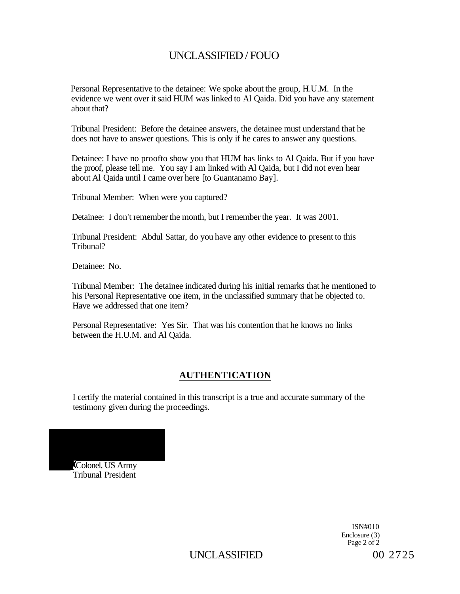Personal Representative to the detainee: We spoke about the group, H.U.M. In the evidence we went over it said HUM was linked to Al Qaida. Did you have any statement about that?

Tribunal President: Before the detainee answers, the detainee must understand that he does not have to answer questions. This is only if he cares to answer any questions.

Detainee: I have no proofto show you that HUM has links to Al Qaida. But if you have the proof, please tell me. You say I am linked with Al Qaida, but I did not even hear about Al Qaida until I came over here [to Guantanamo Bay].

Tribunal Member: When were you captured?

Detainee: I don't remember the month, but I remember the year. It was 2001.

Tribunal President: Abdul Sattar, do you have any other evidence to present to this Tribunal?

Detainee: No.

Tribunal Member: The detainee indicated during his initial remarks that he mentioned to his Personal Representative one item, in the unclassified summary that he objected to. Have we addressed that one item?

Personal Representative: Yes Sir. That was his contention that he knows no links between the H.U.M. and Al Qaida.

#### **AUTHENTICATION**

I certify the material contained in this transcript is a true and accurate summary of the testimony given during the proceedings.

Colonel, US Army .<br>Tribunal President

> ISN#010 Enclosure (3) Page 2 of 2

UNCLASSIFIED 00 2725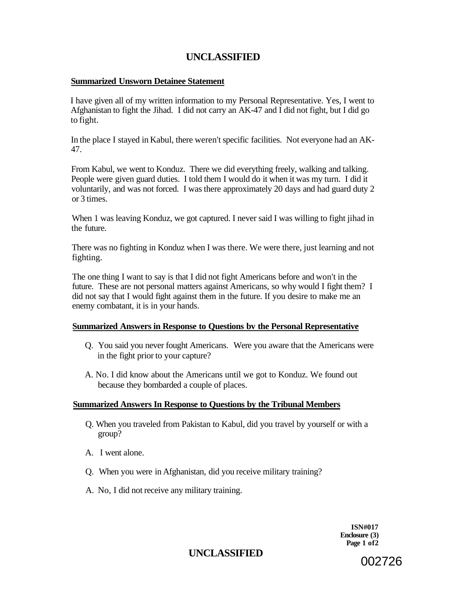# **UNCLASSIFIED**

#### **Summarized Unsworn Detainee Statement**

I have given all of my written information to my Personal Representative. Yes, I went to Afghanistan to fight the Jihad. I did not carry an AK-47 and I did not fight, but I did go to fight.

In the place I stayed in Kabul, there weren't specific facilities. Not everyone had an AK-47.

From Kabul, we went to Konduz. There we did everything freely, walking and talking. People were given guard duties. I told them I would do it when it was my turn. I did it voluntarily, and was not forced. I was there approximately 20 days and had guard duty 2 or 3 times.

When 1 was leaving Konduz, we got captured. I never said I was willing to fight jihad in the future.

There was no fighting in Konduz when I was there. We were there, just learning and not fighting.

The one thing I want to say is that I did not fight Americans before and won't in the future. These are not personal matters against Americans, so why would I fight them? I did not say that I would fight against them in the future. If you desire to make me an enemy combatant, it is in your hands.

#### **Summarized Answers in Response to Questions bv the Personal Representative**

- Q. You said you never fought Americans. Were you aware that the Americans were in the fight prior to your capture?
- A. No. I did know about the Americans until we got to Konduz. We found out because they bombarded a couple of places.

#### **Summarized Answers In Response to Questions by the Tribunal Members**

- Q. When you traveled from Pakistan to Kabul, did you travel by yourself or with a group?
- A. I went alone.
- Q. When you were in Afghanistan, did you receive military training?
- A. No, I did not receive any military training.

**ISN#017 Enclosure (3) Page 1 of2**